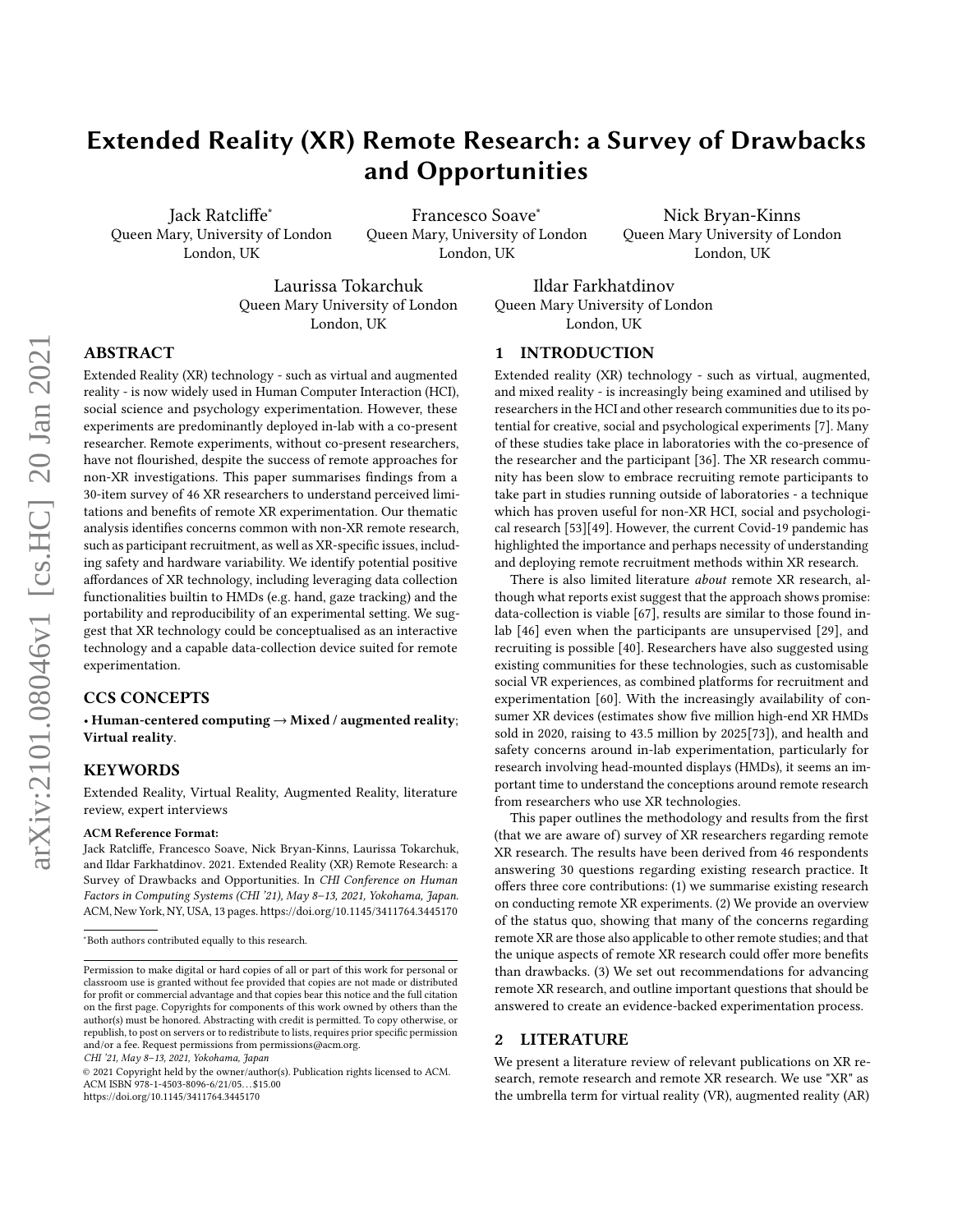# Extended Reality (XR) Remote Research: a Survey of Drawbacks and Opportunities

Jack Ratcliffe<sup>∗</sup> Queen Mary, University of London London, UK

Francesco Soave<sup>∗</sup> Queen Mary, University of London London, UK

Nick Bryan-Kinns Queen Mary University of London London, UK

Laurissa Tokarchuk Queen Mary University of London London, UK

Ildar Farkhatdinov Queen Mary University of London London, UK

# ABSTRACT

Extended Reality (XR) technology - such as virtual and augmented reality - is now widely used in Human Computer Interaction (HCI), social science and psychology experimentation. However, these experiments are predominantly deployed in-lab with a co-present researcher. Remote experiments, without co-present researchers, have not flourished, despite the success of remote approaches for non-XR investigations. This paper summarises findings from a 30-item survey of 46 XR researchers to understand perceived limitations and benefits of remote XR experimentation. Our thematic analysis identifies concerns common with non-XR remote research, such as participant recruitment, as well as XR-specific issues, including safety and hardware variability. We identify potential positive affordances of XR technology, including leveraging data collection functionalities builtin to HMDs (e.g. hand, gaze tracking) and the portability and reproducibility of an experimental setting. We suggest that XR technology could be conceptualised as an interactive technology and a capable data-collection device suited for remote experimentation.

# CCS CONCEPTS

• Human-centered computing → Mixed / augmented reality; Virtual reality.

# **KEYWORDS**

Extended Reality, Virtual Reality, Augmented Reality, literature review, expert interviews

#### ACM Reference Format:

Jack Ratcliffe, Francesco Soave, Nick Bryan-Kinns, Laurissa Tokarchuk, and Ildar Farkhatdinov. 2021. Extended Reality (XR) Remote Research: a Survey of Drawbacks and Opportunities. In CHI Conference on Human Factors in Computing Systems (CHI '21), May 8–13, 2021, Yokohama, Japan. ACM, New York, NY, USA, [13](#page-12-0) pages.<https://doi.org/10.1145/3411764.3445170>

CHI '21, May 8–13, 2021, Yokohama, Japan

© 2021 Copyright held by the owner/author(s). Publication rights licensed to ACM. ACM ISBN 978-1-4503-8096-6/21/05. . . \$15.00 <https://doi.org/10.1145/3411764.3445170>

### 1 INTRODUCTION

Extended reality (XR) technology - such as virtual, augmented, and mixed reality - is increasingly being examined and utilised by researchers in the HCI and other research communities due to its potential for creative, social and psychological experiments [\[7\]](#page-10-0). Many of these studies take place in laboratories with the co-presence of the researcher and the participant [\[36\]](#page-11-0). The XR research community has been slow to embrace recruiting remote participants to take part in studies running outside of laboratories - a technique which has proven useful for non-XR HCI, social and psychological research [\[53\]](#page-11-1)[\[49\]](#page-11-2). However, the current Covid-19 pandemic has highlighted the importance and perhaps necessity of understanding and deploying remote recruitment methods within XR research.

There is also limited literature about remote XR research, although what reports exist suggest that the approach shows promise: data-collection is viable [\[67\]](#page-12-1), results are similar to those found inlab [\[46\]](#page-11-3) even when the participants are unsupervised [\[29\]](#page-11-4), and recruiting is possible [\[40\]](#page-11-5). Researchers have also suggested using existing communities for these technologies, such as customisable social VR experiences, as combined platforms for recruitment and experimentation [\[60\]](#page-11-6). With the increasingly availability of consumer XR devices (estimates show five million high-end XR HMDs sold in 2020, raising to 43.5 million by 2025[\[73\]](#page-12-2)), and health and safety concerns around in-lab experimentation, particularly for research involving head-mounted displays (HMDs), it seems an important time to understand the conceptions around remote research from researchers who use XR technologies.

This paper outlines the methodology and results from the first (that we are aware of) survey of XR researchers regarding remote XR research. The results have been derived from 46 respondents answering 30 questions regarding existing research practice. It offers three core contributions: (1) we summarise existing research on conducting remote XR experiments. (2) We provide an overview of the status quo, showing that many of the concerns regarding remote XR are those also applicable to other remote studies; and that the unique aspects of remote XR research could offer more benefits than drawbacks. (3) We set out recommendations for advancing remote XR research, and outline important questions that should be answered to create an evidence-backed experimentation process.

# 2 LITERATURE

We present a literature review of relevant publications on XR research, remote research and remote XR research. We use "XR" as the umbrella term for virtual reality (VR), augmented reality (AR)

<sup>∗</sup>Both authors contributed equally to this research.

Permission to make digital or hard copies of all or part of this work for personal or classroom use is granted without fee provided that copies are not made or distributed for profit or commercial advantage and that copies bear this notice and the full citation on the first page. Copyrights for components of this work owned by others than the author(s) must be honored. Abstracting with credit is permitted. To copy otherwise, or republish, to post on servers or to redistribute to lists, requires prior specific permission and/or a fee. Request permissions from permissions@acm.org.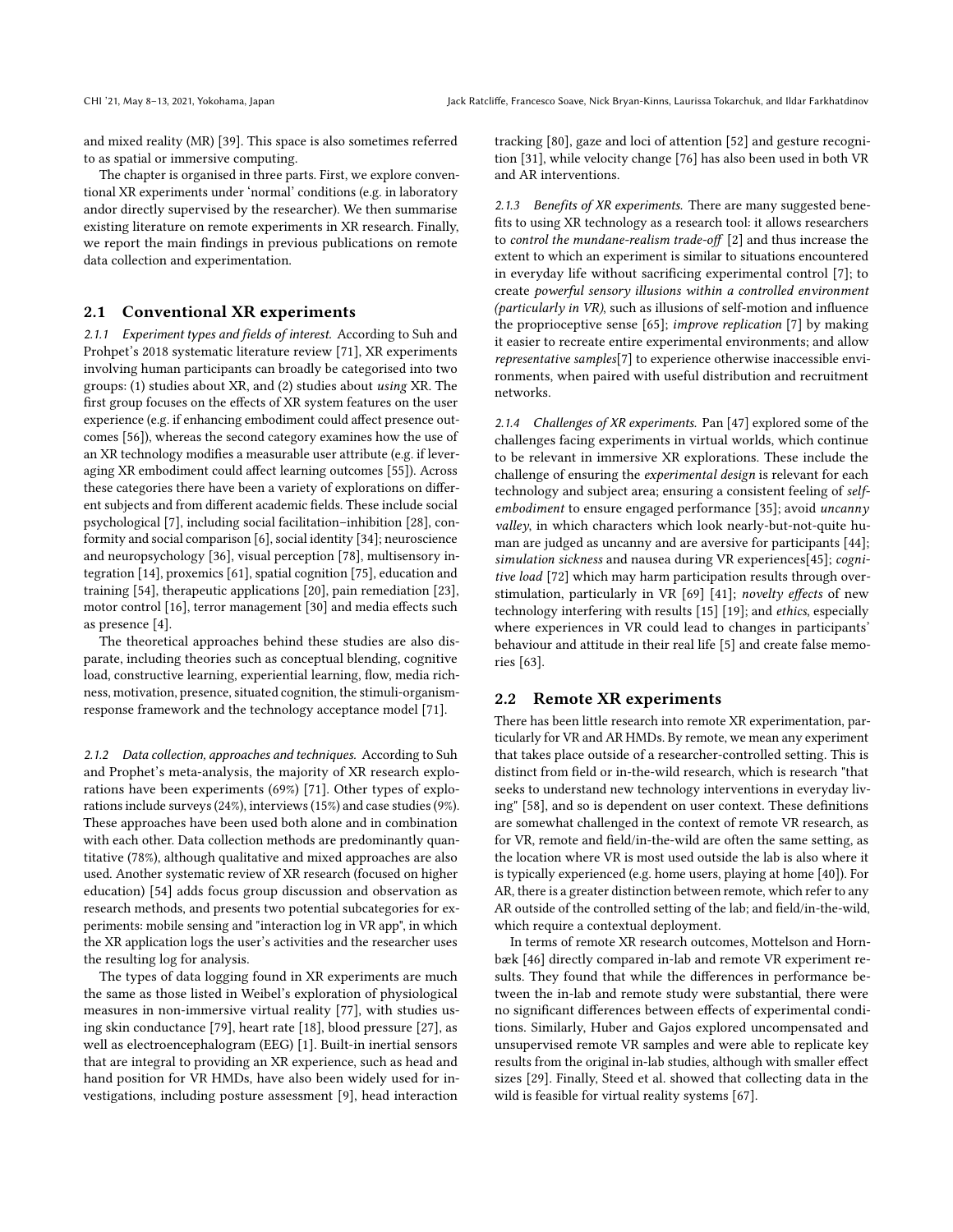and mixed reality (MR) [\[39\]](#page-11-7). This space is also sometimes referred to as spatial or immersive computing.

The chapter is organised in three parts. First, we explore conventional XR experiments under 'normal' conditions (e.g. in laboratory andor directly supervised by the researcher). We then summarise existing literature on remote experiments in XR research. Finally, we report the main findings in previous publications on remote data collection and experimentation.

# 2.1 Conventional XR experiments

2.1.1 Experiment types and fields of interest. According to Suh and Prohpet's 2018 systematic literature review [\[71\]](#page-12-3), XR experiments involving human participants can broadly be categorised into two groups: (1) studies about XR, and (2) studies about using XR. The first group focuses on the effects of XR system features on the user experience (e.g. if enhancing embodiment could affect presence outcomes [\[56\]](#page-11-8)), whereas the second category examines how the use of an XR technology modifies a measurable user attribute (e.g. if leveraging XR embodiment could affect learning outcomes [\[55\]](#page-11-9)). Across these categories there have been a variety of explorations on different subjects and from different academic fields. These include social psychological [\[7\]](#page-10-0), including social facilitation–inhibition [\[28\]](#page-11-10), conformity and social comparison [\[6\]](#page-10-1), social identity [\[34\]](#page-11-11); neuroscience and neuropsychology [\[36\]](#page-11-0), visual perception [\[78\]](#page-12-4), multisensory integration [\[14\]](#page-10-2), proxemics [\[61\]](#page-11-12), spatial cognition [\[75\]](#page-12-5), education and training [\[54\]](#page-11-13), therapeutic applications [\[20\]](#page-11-14), pain remediation [\[23\]](#page-11-15), motor control [\[16\]](#page-10-3), terror management [\[30\]](#page-11-16) and media effects such as presence [\[4\]](#page-10-4).

The theoretical approaches behind these studies are also disparate, including theories such as conceptual blending, cognitive load, constructive learning, experiential learning, flow, media richness, motivation, presence, situated cognition, the stimuli-organismresponse framework and the technology acceptance model [\[71\]](#page-12-3).

2.1.2 Data collection, approaches and techniques. According to Suh and Prophet's meta-analysis, the majority of XR research explorations have been experiments (69%) [\[71\]](#page-12-3). Other types of explorations include surveys (24%), interviews (15%) and case studies (9%). These approaches have been used both alone and in combination with each other. Data collection methods are predominantly quantitative (78%), although qualitative and mixed approaches are also used. Another systematic review of XR research (focused on higher education) [\[54\]](#page-11-13) adds focus group discussion and observation as research methods, and presents two potential subcategories for experiments: mobile sensing and "interaction log in VR app", in which the XR application logs the user's activities and the researcher uses the resulting log for analysis.

The types of data logging found in XR experiments are much the same as those listed in Weibel's exploration of physiological measures in non-immersive virtual reality [\[77\]](#page-12-6), with studies using skin conductance [\[79\]](#page-12-7), heart rate [\[18\]](#page-11-17), blood pressure [\[27\]](#page-11-18), as well as electroencephalogram (EEG) [\[1\]](#page-10-5). Built-in inertial sensors that are integral to providing an XR experience, such as head and hand position for VR HMDs, have also been widely used for investigations, including posture assessment [\[9\]](#page-10-6), head interaction

tracking [\[80\]](#page-12-8), gaze and loci of attention [\[52\]](#page-11-19) and gesture recognition [\[31\]](#page-11-20), while velocity change [\[76\]](#page-12-9) has also been used in both VR and AR interventions.

2.1.3 Benefits of XR experiments. There are many suggested benefits to using XR technology as a research tool: it allows researchers to control the mundane-realism trade-off [\[2\]](#page-10-7) and thus increase the extent to which an experiment is similar to situations encountered in everyday life without sacrificing experimental control [\[7\]](#page-10-0); to create powerful sensory illusions within a controlled environment (particularly in VR), such as illusions of self-motion and influence the proprioceptive sense [\[65\]](#page-12-10); improve replication [\[7\]](#page-10-0) by making it easier to recreate entire experimental environments; and allow representative samples[\[7\]](#page-10-0) to experience otherwise inaccessible environments, when paired with useful distribution and recruitment networks.

2.1.4 Challenges of XR experiments. Pan [\[47\]](#page-11-21) explored some of the challenges facing experiments in virtual worlds, which continue to be relevant in immersive XR explorations. These include the challenge of ensuring the experimental design is relevant for each technology and subject area; ensuring a consistent feeling of selfembodiment to ensure engaged performance [\[35\]](#page-11-22); avoid uncanny valley, in which characters which look nearly-but-not-quite human are judged as uncanny and are aversive for participants [\[44\]](#page-11-23); simulation sickness and nausea during VR experiences[\[45\]](#page-11-24); cognitive load [\[72\]](#page-12-11) which may harm participation results through overstimulation, particularly in VR [\[69\]](#page-12-12) [\[41\]](#page-11-25); novelty effects of new technology interfering with results [\[15\]](#page-10-8) [\[19\]](#page-11-26); and ethics, especially where experiences in VR could lead to changes in participants' behaviour and attitude in their real life [\[5\]](#page-10-9) and create false memories [\[63\]](#page-12-13).

# 2.2 Remote XR experiments

There has been little research into remote XR experimentation, particularly for VR and AR HMDs. By remote, we mean any experiment that takes place outside of a researcher-controlled setting. This is distinct from field or in-the-wild research, which is research "that seeks to understand new technology interventions in everyday living" [\[58\]](#page-11-27), and so is dependent on user context. These definitions are somewhat challenged in the context of remote VR research, as for VR, remote and field/in-the-wild are often the same setting, as the location where VR is most used outside the lab is also where it is typically experienced (e.g. home users, playing at home [\[40\]](#page-11-5)). For AR, there is a greater distinction between remote, which refer to any AR outside of the controlled setting of the lab; and field/in-the-wild, which require a contextual deployment.

In terms of remote XR research outcomes, Mottelson and Hornbæk [\[46\]](#page-11-3) directly compared in-lab and remote VR experiment results. They found that while the differences in performance between the in-lab and remote study were substantial, there were no significant differences between effects of experimental conditions. Similarly, Huber and Gajos explored uncompensated and unsupervised remote VR samples and were able to replicate key results from the original in-lab studies, although with smaller effect sizes [\[29\]](#page-11-4). Finally, Steed et al. showed that collecting data in the wild is feasible for virtual reality systems [\[67\]](#page-12-1).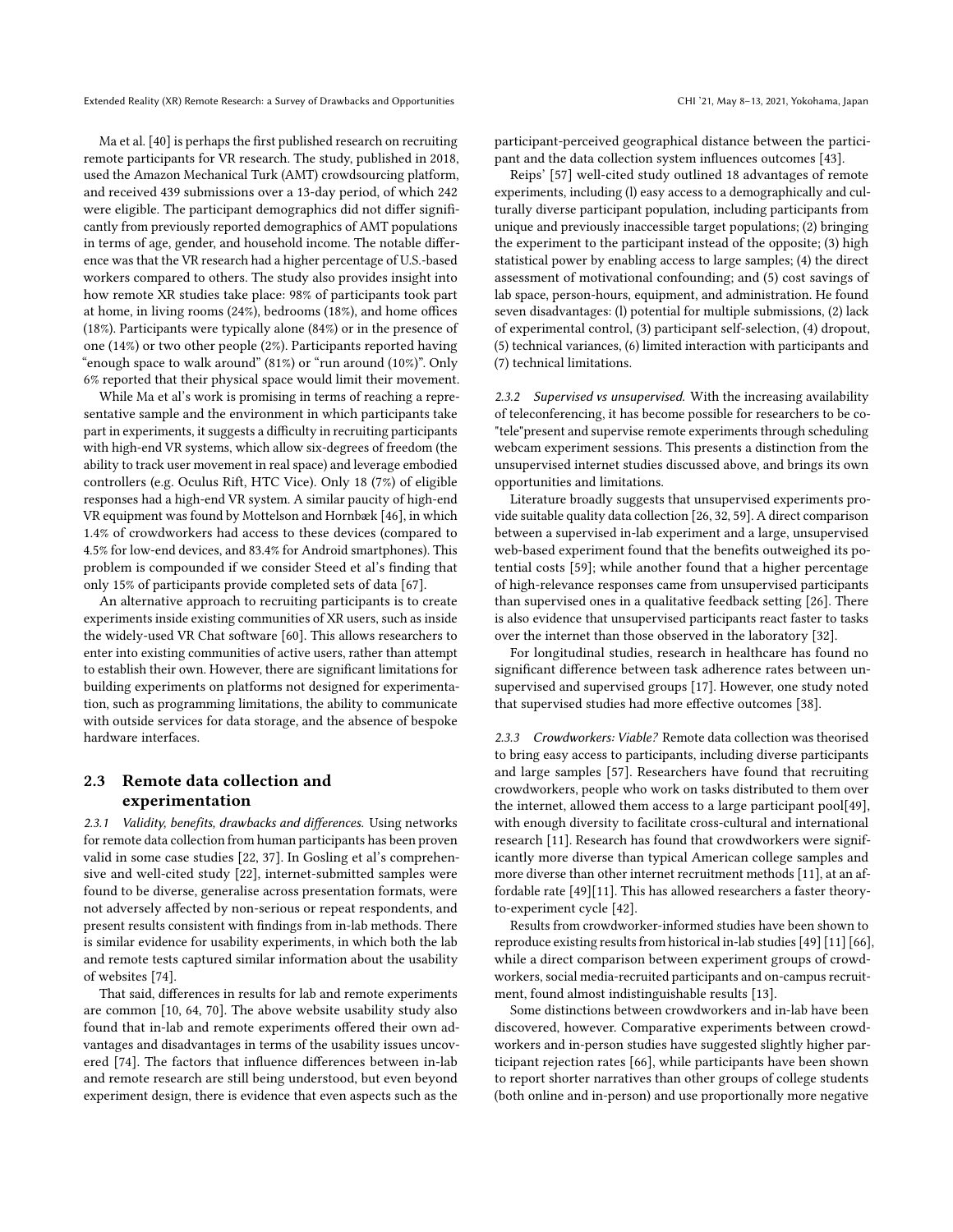Ma et al. [\[40\]](#page-11-5) is perhaps the first published research on recruiting remote participants for VR research. The study, published in 2018, used the Amazon Mechanical Turk (AMT) crowdsourcing platform, and received 439 submissions over a 13-day period, of which 242 were eligible. The participant demographics did not differ significantly from previously reported demographics of AMT populations in terms of age, gender, and household income. The notable difference was that the VR research had a higher percentage of U.S.-based workers compared to others. The study also provides insight into how remote XR studies take place: 98% of participants took part at home, in living rooms (24%), bedrooms (18%), and home offices (18%). Participants were typically alone (84%) or in the presence of one (14%) or two other people (2%). Participants reported having "enough space to walk around" (81%) or "run around (10%)". Only 6% reported that their physical space would limit their movement.

While Ma et al's work is promising in terms of reaching a representative sample and the environment in which participants take part in experiments, it suggests a difficulty in recruiting participants with high-end VR systems, which allow six-degrees of freedom (the ability to track user movement in real space) and leverage embodied controllers (e.g. Oculus Rift, HTC Vice). Only 18 (7%) of eligible responses had a high-end VR system. A similar paucity of high-end VR equipment was found by Mottelson and Hornbæk [\[46\]](#page-11-3), in which 1.4% of crowdworkers had access to these devices (compared to 4.5% for low-end devices, and 83.4% for Android smartphones). This problem is compounded if we consider Steed et al's finding that only 15% of participants provide completed sets of data [\[67\]](#page-12-1).

An alternative approach to recruiting participants is to create experiments inside existing communities of XR users, such as inside the widely-used VR Chat software [\[60\]](#page-11-6). This allows researchers to enter into existing communities of active users, rather than attempt to establish their own. However, there are significant limitations for building experiments on platforms not designed for experimentation, such as programming limitations, the ability to communicate with outside services for data storage, and the absence of bespoke hardware interfaces.

# 2.3 Remote data collection and experimentation

2.3.1 Validity, benefits, drawbacks and differences. Using networks for remote data collection from human participants has been proven valid in some case studies [\[22,](#page-11-28) [37\]](#page-11-29). In Gosling et al's comprehensive and well-cited study [\[22\]](#page-11-28), internet-submitted samples were found to be diverse, generalise across presentation formats, were not adversely affected by non-serious or repeat respondents, and present results consistent with findings from in-lab methods. There is similar evidence for usability experiments, in which both the lab and remote tests captured similar information about the usability of websites [\[74\]](#page-12-14).

That said, differences in results for lab and remote experiments are common [\[10,](#page-10-10) [64,](#page-12-15) [70\]](#page-12-16). The above website usability study also found that in-lab and remote experiments offered their own advantages and disadvantages in terms of the usability issues uncovered [\[74\]](#page-12-14). The factors that influence differences between in-lab and remote research are still being understood, but even beyond experiment design, there is evidence that even aspects such as the

participant-perceived geographical distance between the participant and the data collection system influences outcomes [\[43\]](#page-11-30).

Reips' [\[57\]](#page-11-31) well-cited study outlined 18 advantages of remote experiments, including (l) easy access to a demographically and culturally diverse participant population, including participants from unique and previously inaccessible target populations; (2) bringing the experiment to the participant instead of the opposite; (3) high statistical power by enabling access to large samples; (4) the direct assessment of motivational confounding; and (5) cost savings of lab space, person-hours, equipment, and administration. He found seven disadvantages: (l) potential for multiple submissions, (2) lack of experimental control, (3) participant self-selection, (4) dropout, (5) technical variances, (6) limited interaction with participants and (7) technical limitations.

2.3.2 Supervised vs unsupervised. With the increasing availability of teleconferencing, it has become possible for researchers to be co- "tele"present and supervise remote experiments through scheduling webcam experiment sessions. This presents a distinction from the unsupervised internet studies discussed above, and brings its own opportunities and limitations.

Literature broadly suggests that unsupervised experiments provide suitable quality data collection [\[26,](#page-11-32) [32,](#page-11-33) [59\]](#page-11-34). A direct comparison between a supervised in-lab experiment and a large, unsupervised web-based experiment found that the benefits outweighed its potential costs [\[59\]](#page-11-34); while another found that a higher percentage of high-relevance responses came from unsupervised participants than supervised ones in a qualitative feedback setting [\[26\]](#page-11-32). There is also evidence that unsupervised participants react faster to tasks over the internet than those observed in the laboratory [\[32\]](#page-11-33).

For longitudinal studies, research in healthcare has found no significant difference between task adherence rates between unsupervised and supervised groups [\[17\]](#page-11-35). However, one study noted that supervised studies had more effective outcomes [\[38\]](#page-11-36).

2.3.3 Crowdworkers: Viable? Remote data collection was theorised to bring easy access to participants, including diverse participants and large samples [\[57\]](#page-11-31). Researchers have found that recruiting crowdworkers, people who work on tasks distributed to them over the internet, allowed them access to a large participant pool[\[49\]](#page-11-2), with enough diversity to facilitate cross-cultural and international research [\[11\]](#page-10-11). Research has found that crowdworkers were significantly more diverse than typical American college samples and more diverse than other internet recruitment methods [\[11\]](#page-10-11), at an affordable rate [\[49\]](#page-11-2)[\[11\]](#page-10-11). This has allowed researchers a faster theoryto-experiment cycle [\[42\]](#page-11-37).

Results from crowdworker-informed studies have been shown to reproduce existing results from historical in-lab studies [\[49\]](#page-11-2) [\[11\]](#page-10-11) [\[66\]](#page-12-17), while a direct comparison between experiment groups of crowdworkers, social media-recruited participants and on-campus recruitment, found almost indistinguishable results [\[13\]](#page-10-12).

Some distinctions between crowdworkers and in-lab have been discovered, however. Comparative experiments between crowdworkers and in-person studies have suggested slightly higher participant rejection rates [\[66\]](#page-12-17), while participants have been shown to report shorter narratives than other groups of college students (both online and in-person) and use proportionally more negative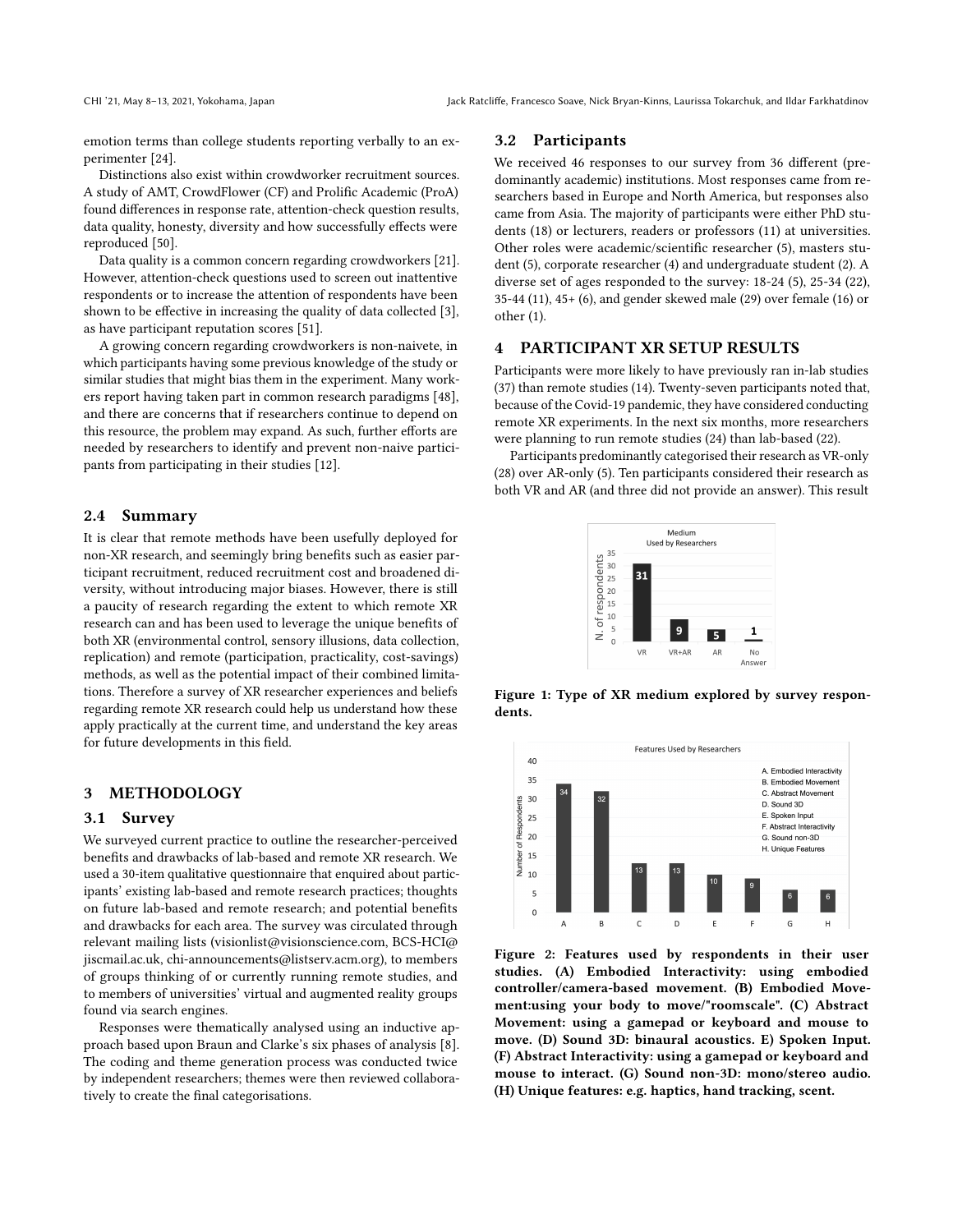emotion terms than college students reporting verbally to an experimenter [\[24\]](#page-11-38).

Distinctions also exist within crowdworker recruitment sources. A study of AMT, CrowdFlower (CF) and Prolific Academic (ProA) found differences in response rate, attention-check question results, data quality, honesty, diversity and how successfully effects were reproduced [\[50\]](#page-11-39).

Data quality is a common concern regarding crowdworkers [\[21\]](#page-11-40). However, attention-check questions used to screen out inattentive respondents or to increase the attention of respondents have been shown to be effective in increasing the quality of data collected [\[3\]](#page-10-13), as have participant reputation scores [\[51\]](#page-11-41).

A growing concern regarding crowdworkers is non-naivete, in which participants having some previous knowledge of the study or similar studies that might bias them in the experiment. Many workers report having taken part in common research paradigms [\[48\]](#page-11-42), and there are concerns that if researchers continue to depend on this resource, the problem may expand. As such, further efforts are needed by researchers to identify and prevent non-naive participants from participating in their studies [\[12\]](#page-10-14).

#### 2.4 Summary

It is clear that remote methods have been usefully deployed for non-XR research, and seemingly bring benefits such as easier participant recruitment, reduced recruitment cost and broadened diversity, without introducing major biases. However, there is still a paucity of research regarding the extent to which remote XR research can and has been used to leverage the unique benefits of both XR (environmental control, sensory illusions, data collection, replication) and remote (participation, practicality, cost-savings) methods, as well as the potential impact of their combined limitations. Therefore a survey of XR researcher experiences and beliefs regarding remote XR research could help us understand how these apply practically at the current time, and understand the key areas for future developments in this field.

# 3 METHODOLOGY

# 3.1 Survey

We surveyed current practice to outline the researcher-perceived benefits and drawbacks of lab-based and remote XR research. We used a 30-item qualitative questionnaire that enquired about participants' existing lab-based and remote research practices; thoughts on future lab-based and remote research; and potential benefits and drawbacks for each area. The survey was circulated through relevant mailing lists (visionlist@visionscience.com, BCS-HCI@ jiscmail.ac.uk, chi-announcements@listserv.acm.org), to members of groups thinking of or currently running remote studies, and to members of universities' virtual and augmented reality groups found via search engines.

Responses were thematically analysed using an inductive approach based upon Braun and Clarke's six phases of analysis [\[8\]](#page-10-15). The coding and theme generation process was conducted twice by independent researchers; themes were then reviewed collaboratively to create the final categorisations.

### 3.2 Participants

We received 46 responses to our survey from 36 different (predominantly academic) institutions. Most responses came from researchers based in Europe and North America, but responses also came from Asia. The majority of participants were either PhD students (18) or lecturers, readers or professors (11) at universities. Other roles were academic/scientific researcher (5), masters student (5), corporate researcher (4) and undergraduate student (2). A diverse set of ages responded to the survey: 18-24 (5), 25-34 (22), 35-44 (11), 45+ (6), and gender skewed male (29) over female (16) or other (1).

### 4 PARTICIPANT XR SETUP RESULTS

Participants were more likely to have previously ran in-lab studies (37) than remote studies (14). Twenty-seven participants noted that, because of the Covid-19 pandemic, they have considered conducting remote XR experiments. In the next six months, more researchers were planning to run remote studies (24) than lab-based (22).

<span id="page-3-0"></span>Participants predominantly categorised their research as VR-only (28) over AR-only (5). Ten participants considered their research as both VR and AR (and three did not provide an answer). This result



Figure 1: Type of XR medium explored by survey respondents.

<span id="page-3-1"></span>

Figure 2: Features used by respondents in their user studies. (A) Embodied Interactivity: using embodied controller/camera-based movement. (B) Embodied Movement:using your body to move/"roomscale". (C) Abstract Movement: using a gamepad or keyboard and mouse to move. (D) Sound 3D: binaural acoustics. E) Spoken Input. (F) Abstract Interactivity: using a gamepad or keyboard and mouse to interact. (G) Sound non-3D: mono/stereo audio. (H) Unique features: e.g. haptics, hand tracking, scent.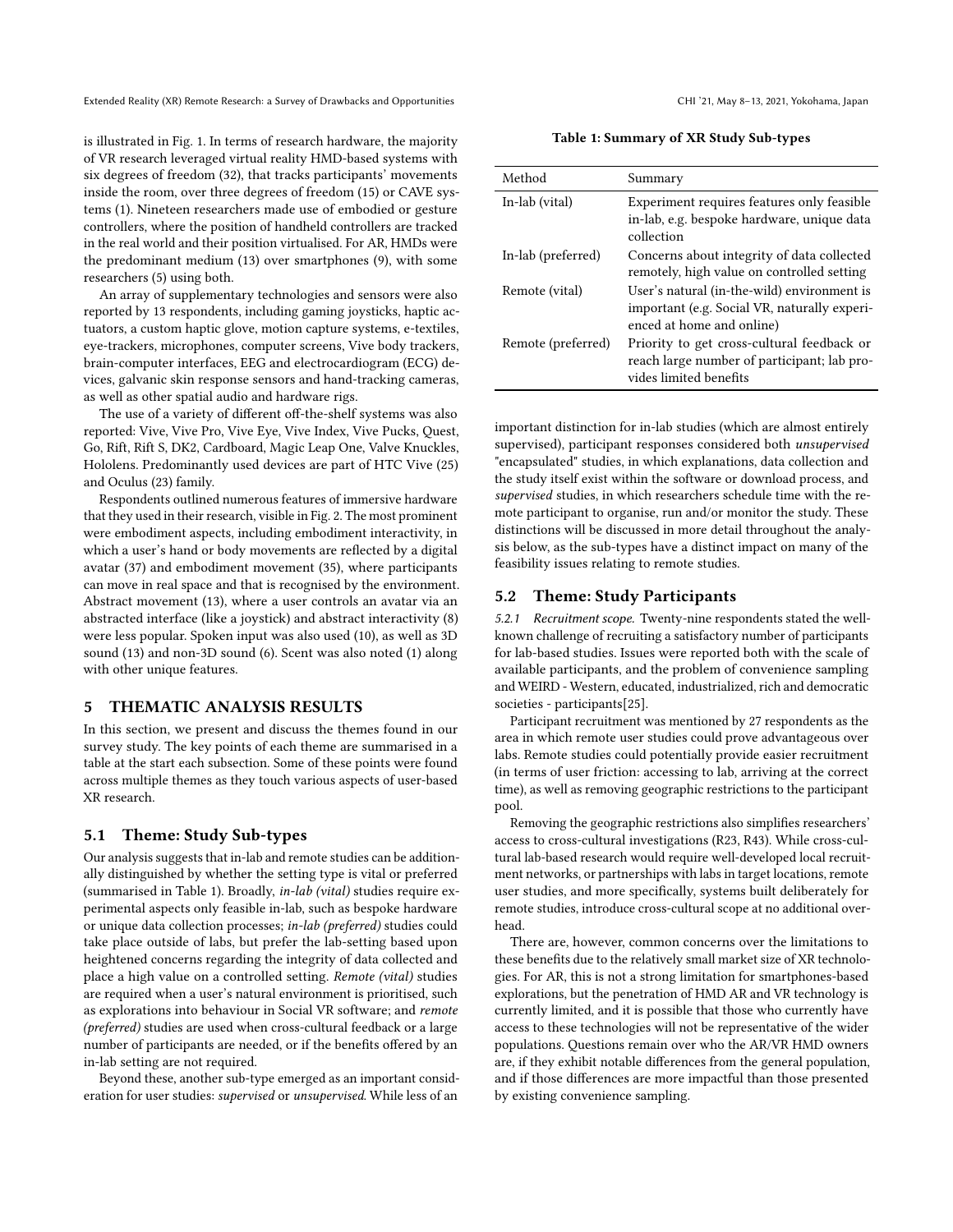is illustrated in Fig. [1.](#page-3-0) In terms of research hardware, the majority of VR research leveraged virtual reality HMD-based systems with six degrees of freedom (32), that tracks participants' movements inside the room, over three degrees of freedom (15) or CAVE systems (1). Nineteen researchers made use of embodied or gesture controllers, where the position of handheld controllers are tracked in the real world and their position virtualised. For AR, HMDs were the predominant medium (13) over smartphones (9), with some researchers (5) using both.

An array of supplementary technologies and sensors were also reported by 13 respondents, including gaming joysticks, haptic actuators, a custom haptic glove, motion capture systems, e-textiles, eye-trackers, microphones, computer screens, Vive body trackers, brain-computer interfaces, EEG and electrocardiogram (ECG) devices, galvanic skin response sensors and hand-tracking cameras, as well as other spatial audio and hardware rigs.

The use of a variety of different off-the-shelf systems was also reported: Vive, Vive Pro, Vive Eye, Vive Index, Vive Pucks, Quest, Go, Rift, Rift S, DK2, Cardboard, Magic Leap One, Valve Knuckles, Hololens. Predominantly used devices are part of HTC Vive (25) and Oculus (23) family.

Respondents outlined numerous features of immersive hardware that they used in their research, visible in Fig. [2.](#page-3-1) The most prominent were embodiment aspects, including embodiment interactivity, in which a user's hand or body movements are reflected by a digital avatar (37) and embodiment movement (35), where participants can move in real space and that is recognised by the environment. Abstract movement (13), where a user controls an avatar via an abstracted interface (like a joystick) and abstract interactivity (8) were less popular. Spoken input was also used (10), as well as 3D sound (13) and non-3D sound (6). Scent was also noted (1) along with other unique features.

# 5 THEMATIC ANALYSIS RESULTS

In this section, we present and discuss the themes found in our survey study. The key points of each theme are summarised in a table at the start each subsection. Some of these points were found across multiple themes as they touch various aspects of user-based XR research.

# 5.1 Theme: Study Sub-types

Our analysis suggests that in-lab and remote studies can be additionally distinguished by whether the setting type is vital or preferred (summarised in Table [1\)](#page-4-0). Broadly, in-lab (vital) studies require experimental aspects only feasible in-lab, such as bespoke hardware or unique data collection processes; in-lab (preferred) studies could take place outside of labs, but prefer the lab-setting based upon heightened concerns regarding the integrity of data collected and place a high value on a controlled setting. Remote (vital) studies are required when a user's natural environment is prioritised, such as explorations into behaviour in Social VR software; and remote (preferred) studies are used when cross-cultural feedback or a large number of participants are needed, or if the benefits offered by an in-lab setting are not required.

Beyond these, another sub-type emerged as an important consideration for user studies: supervised or unsupervised. While less of an

Table 1: Summary of XR Study Sub-types

<span id="page-4-0"></span>

| Method             | Summary                                                                                                                  |
|--------------------|--------------------------------------------------------------------------------------------------------------------------|
| In-lab (vital)     | Experiment requires features only feasible<br>in-lab, e.g. bespoke hardware, unique data<br>collection                   |
| In-lab (preferred) | Concerns about integrity of data collected<br>remotely, high value on controlled setting                                 |
| Remote (vital)     | User's natural (in-the-wild) environment is<br>important (e.g. Social VR, naturally experi-<br>enced at home and online) |
| Remote (preferred) | Priority to get cross-cultural feedback or<br>reach large number of participant; lab pro-<br>vides limited benefits      |

important distinction for in-lab studies (which are almost entirely supervised), participant responses considered both unsupervised "encapsulated" studies, in which explanations, data collection and the study itself exist within the software or download process, and supervised studies, in which researchers schedule time with the remote participant to organise, run and/or monitor the study. These distinctions will be discussed in more detail throughout the analysis below, as the sub-types have a distinct impact on many of the feasibility issues relating to remote studies.

### 5.2 Theme: Study Participants

5.2.1 Recruitment scope. Twenty-nine respondents stated the wellknown challenge of recruiting a satisfactory number of participants for lab-based studies. Issues were reported both with the scale of available participants, and the problem of convenience sampling and WEIRD - Western, educated, industrialized, rich and democratic societies - participants[\[25\]](#page-11-43).

Participant recruitment was mentioned by 27 respondents as the area in which remote user studies could prove advantageous over labs. Remote studies could potentially provide easier recruitment (in terms of user friction: accessing to lab, arriving at the correct time), as well as removing geographic restrictions to the participant pool.

Removing the geographic restrictions also simplifies researchers' access to cross-cultural investigations (R23, R43). While cross-cultural lab-based research would require well-developed local recruitment networks, or partnerships with labs in target locations, remote user studies, and more specifically, systems built deliberately for remote studies, introduce cross-cultural scope at no additional overhead.

There are, however, common concerns over the limitations to these benefits due to the relatively small market size of XR technologies. For AR, this is not a strong limitation for smartphones-based explorations, but the penetration of HMD AR and VR technology is currently limited, and it is possible that those who currently have access to these technologies will not be representative of the wider populations. Questions remain over who the AR/VR HMD owners are, if they exhibit notable differences from the general population, and if those differences are more impactful than those presented by existing convenience sampling.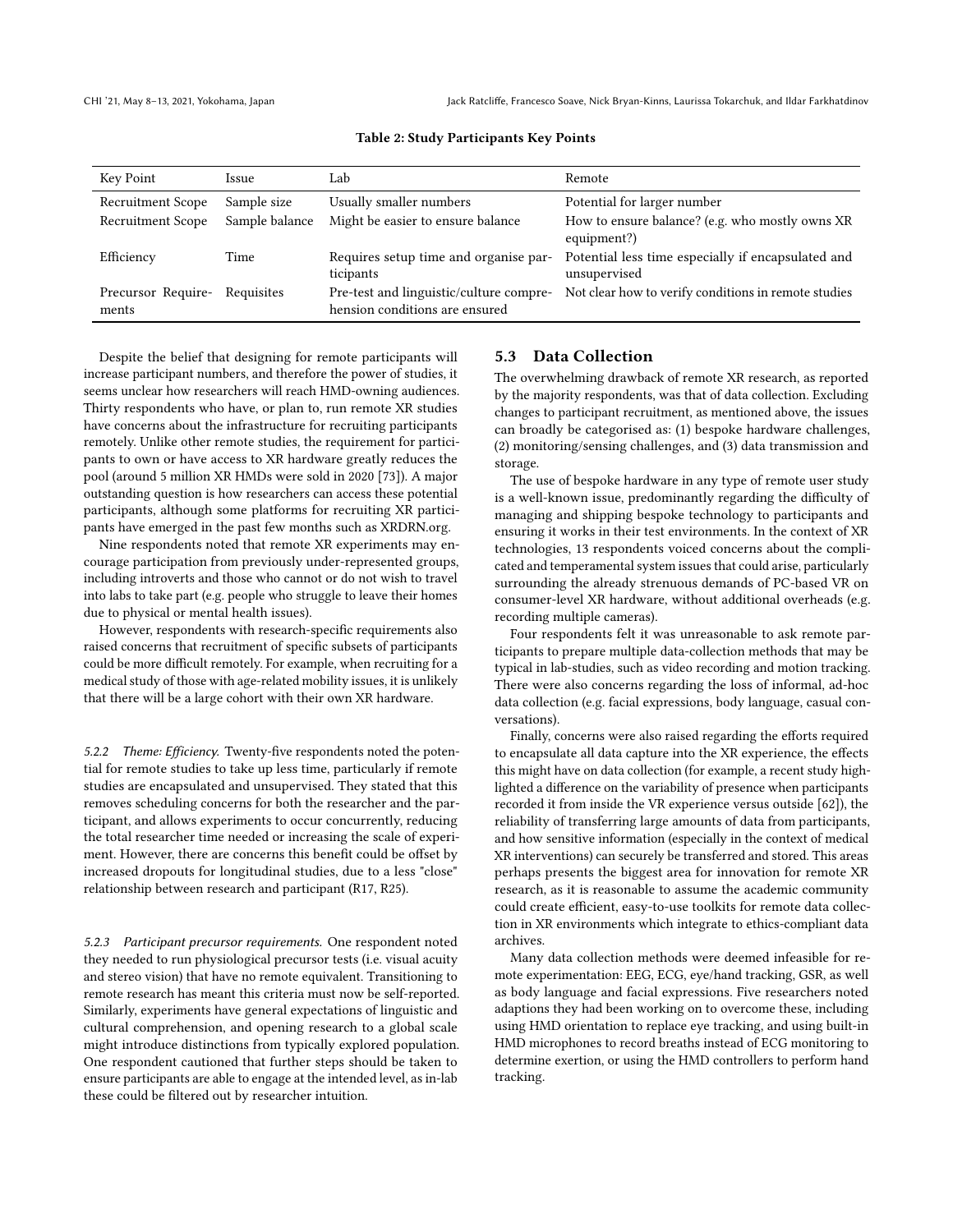| Key Point                   | <i><u><b>Issue</b></u></i> | Lab                                                                       | Remote                                                             |
|-----------------------------|----------------------------|---------------------------------------------------------------------------|--------------------------------------------------------------------|
| <b>Recruitment Scope</b>    | Sample size                | Usually smaller numbers                                                   | Potential for larger number                                        |
| Recruitment Scope           | Sample balance             | Might be easier to ensure balance                                         | How to ensure balance? (e.g. who mostly owns XR<br>equipment?)     |
| Efficiency                  | Time                       | Requires setup time and organise par-<br>ticipants                        | Potential less time especially if encapsulated and<br>unsupervised |
| Precursor Require-<br>ments | Requisites                 | Pre-test and linguistic/culture compre-<br>hension conditions are ensured | Not clear how to verify conditions in remote studies               |

#### Table 2: Study Participants Key Points

Despite the belief that designing for remote participants will increase participant numbers, and therefore the power of studies, it seems unclear how researchers will reach HMD-owning audiences. Thirty respondents who have, or plan to, run remote XR studies have concerns about the infrastructure for recruiting participants remotely. Unlike other remote studies, the requirement for participants to own or have access to XR hardware greatly reduces the pool (around 5 million XR HMDs were sold in 2020 [\[73\]](#page-12-2)). A major outstanding question is how researchers can access these potential participants, although some platforms for recruiting XR participants have emerged in the past few months such as XRDRN.org.

Nine respondents noted that remote XR experiments may encourage participation from previously under-represented groups, including introverts and those who cannot or do not wish to travel into labs to take part (e.g. people who struggle to leave their homes due to physical or mental health issues).

However, respondents with research-specific requirements also raised concerns that recruitment of specific subsets of participants could be more difficult remotely. For example, when recruiting for a medical study of those with age-related mobility issues, it is unlikely that there will be a large cohort with their own XR hardware.

5.2.2 Theme: Efficiency. Twenty-five respondents noted the potential for remote studies to take up less time, particularly if remote studies are encapsulated and unsupervised. They stated that this removes scheduling concerns for both the researcher and the participant, and allows experiments to occur concurrently, reducing the total researcher time needed or increasing the scale of experiment. However, there are concerns this benefit could be offset by increased dropouts for longitudinal studies, due to a less "close" relationship between research and participant (R17, R25).

5.2.3 Participant precursor requirements. One respondent noted they needed to run physiological precursor tests (i.e. visual acuity and stereo vision) that have no remote equivalent. Transitioning to remote research has meant this criteria must now be self-reported. Similarly, experiments have general expectations of linguistic and cultural comprehension, and opening research to a global scale might introduce distinctions from typically explored population. One respondent cautioned that further steps should be taken to ensure participants are able to engage at the intended level, as in-lab these could be filtered out by researcher intuition.

### 5.3 Data Collection

The overwhelming drawback of remote XR research, as reported by the majority respondents, was that of data collection. Excluding changes to participant recruitment, as mentioned above, the issues can broadly be categorised as: (1) bespoke hardware challenges, (2) monitoring/sensing challenges, and (3) data transmission and storage.

The use of bespoke hardware in any type of remote user study is a well-known issue, predominantly regarding the difficulty of managing and shipping bespoke technology to participants and ensuring it works in their test environments. In the context of XR technologies, 13 respondents voiced concerns about the complicated and temperamental system issues that could arise, particularly surrounding the already strenuous demands of PC-based VR on consumer-level XR hardware, without additional overheads (e.g. recording multiple cameras).

Four respondents felt it was unreasonable to ask remote participants to prepare multiple data-collection methods that may be typical in lab-studies, such as video recording and motion tracking. There were also concerns regarding the loss of informal, ad-hoc data collection (e.g. facial expressions, body language, casual conversations).

Finally, concerns were also raised regarding the efforts required to encapsulate all data capture into the XR experience, the effects this might have on data collection (for example, a recent study highlighted a difference on the variability of presence when participants recorded it from inside the VR experience versus outside [\[62\]](#page-12-18)), the reliability of transferring large amounts of data from participants, and how sensitive information (especially in the context of medical XR interventions) can securely be transferred and stored. This areas perhaps presents the biggest area for innovation for remote XR research, as it is reasonable to assume the academic community could create efficient, easy-to-use toolkits for remote data collection in XR environments which integrate to ethics-compliant data archives.

Many data collection methods were deemed infeasible for remote experimentation: EEG, ECG, eye/hand tracking, GSR, as well as body language and facial expressions. Five researchers noted adaptions they had been working on to overcome these, including using HMD orientation to replace eye tracking, and using built-in HMD microphones to record breaths instead of ECG monitoring to determine exertion, or using the HMD controllers to perform hand tracking.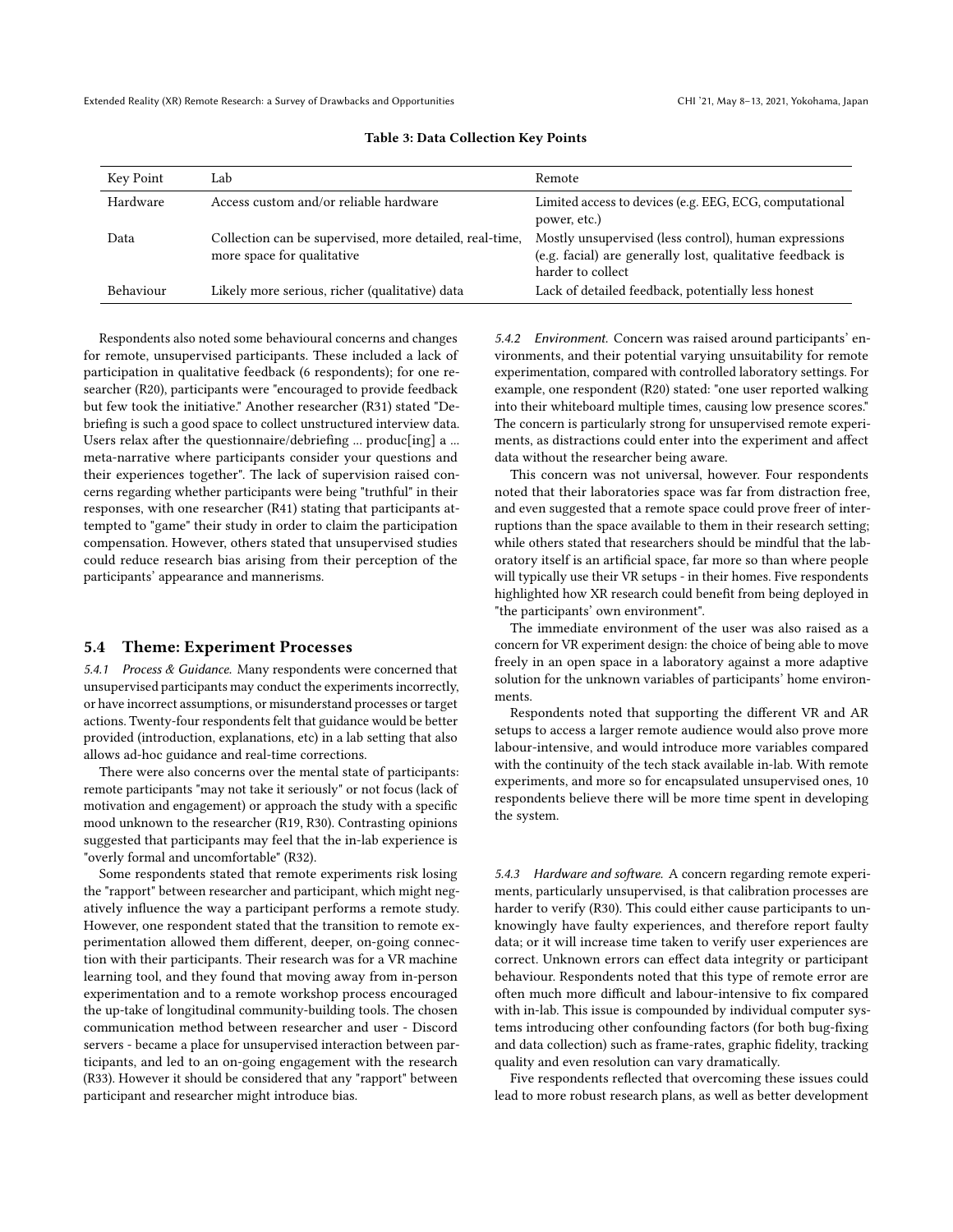| Key Point | Lab                                                                                   | Remote                                                                                                                                  |
|-----------|---------------------------------------------------------------------------------------|-----------------------------------------------------------------------------------------------------------------------------------------|
| Hardware  | Access custom and/or reliable hardware                                                | Limited access to devices (e.g. EEG, ECG, computational<br>power, etc.)                                                                 |
| Data      | Collection can be supervised, more detailed, real-time,<br>more space for qualitative | Mostly unsupervised (less control), human expressions<br>(e.g. facial) are generally lost, qualitative feedback is<br>harder to collect |
| Behaviour | Likely more serious, richer (qualitative) data                                        | Lack of detailed feedback, potentially less honest                                                                                      |

#### Table 3: Data Collection Key Points

Respondents also noted some behavioural concerns and changes for remote, unsupervised participants. These included a lack of participation in qualitative feedback (6 respondents); for one researcher (R20), participants were "encouraged to provide feedback but few took the initiative." Another researcher (R31) stated "Debriefing is such a good space to collect unstructured interview data. Users relax after the questionnaire/debriefing ... produc[ing] a ... meta-narrative where participants consider your questions and their experiences together". The lack of supervision raised concerns regarding whether participants were being "truthful" in their responses, with one researcher (R41) stating that participants attempted to "game" their study in order to claim the participation compensation. However, others stated that unsupervised studies could reduce research bias arising from their perception of the participants' appearance and mannerisms.

### 5.4 Theme: Experiment Processes

5.4.1 Process & Guidance. Many respondents were concerned that unsupervised participants may conduct the experiments incorrectly, or have incorrect assumptions, or misunderstand processes or target actions. Twenty-four respondents felt that guidance would be better provided (introduction, explanations, etc) in a lab setting that also allows ad-hoc guidance and real-time corrections.

There were also concerns over the mental state of participants: remote participants "may not take it seriously" or not focus (lack of motivation and engagement) or approach the study with a specific mood unknown to the researcher (R19, R30). Contrasting opinions suggested that participants may feel that the in-lab experience is "overly formal and uncomfortable" (R32).

Some respondents stated that remote experiments risk losing the "rapport" between researcher and participant, which might negatively influence the way a participant performs a remote study. However, one respondent stated that the transition to remote experimentation allowed them different, deeper, on-going connection with their participants. Their research was for a VR machine learning tool, and they found that moving away from in-person experimentation and to a remote workshop process encouraged the up-take of longitudinal community-building tools. The chosen communication method between researcher and user - Discord servers - became a place for unsupervised interaction between participants, and led to an on-going engagement with the research (R33). However it should be considered that any "rapport" between participant and researcher might introduce bias.

5.4.2 Environment. Concern was raised around participants' environments, and their potential varying unsuitability for remote experimentation, compared with controlled laboratory settings. For example, one respondent (R20) stated: "one user reported walking into their whiteboard multiple times, causing low presence scores." The concern is particularly strong for unsupervised remote experiments, as distractions could enter into the experiment and affect data without the researcher being aware.

This concern was not universal, however. Four respondents noted that their laboratories space was far from distraction free, and even suggested that a remote space could prove freer of interruptions than the space available to them in their research setting; while others stated that researchers should be mindful that the laboratory itself is an artificial space, far more so than where people will typically use their VR setups - in their homes. Five respondents highlighted how XR research could benefit from being deployed in "the participants' own environment".

The immediate environment of the user was also raised as a concern for VR experiment design: the choice of being able to move freely in an open space in a laboratory against a more adaptive solution for the unknown variables of participants' home environments.

Respondents noted that supporting the different VR and AR setups to access a larger remote audience would also prove more labour-intensive, and would introduce more variables compared with the continuity of the tech stack available in-lab. With remote experiments, and more so for encapsulated unsupervised ones, 10 respondents believe there will be more time spent in developing the system.

5.4.3 Hardware and software. A concern regarding remote experiments, particularly unsupervised, is that calibration processes are harder to verify (R30). This could either cause participants to unknowingly have faulty experiences, and therefore report faulty data; or it will increase time taken to verify user experiences are correct. Unknown errors can effect data integrity or participant behaviour. Respondents noted that this type of remote error are often much more difficult and labour-intensive to fix compared with in-lab. This issue is compounded by individual computer systems introducing other confounding factors (for both bug-fixing and data collection) such as frame-rates, graphic fidelity, tracking quality and even resolution can vary dramatically.

Five respondents reflected that overcoming these issues could lead to more robust research plans, as well as better development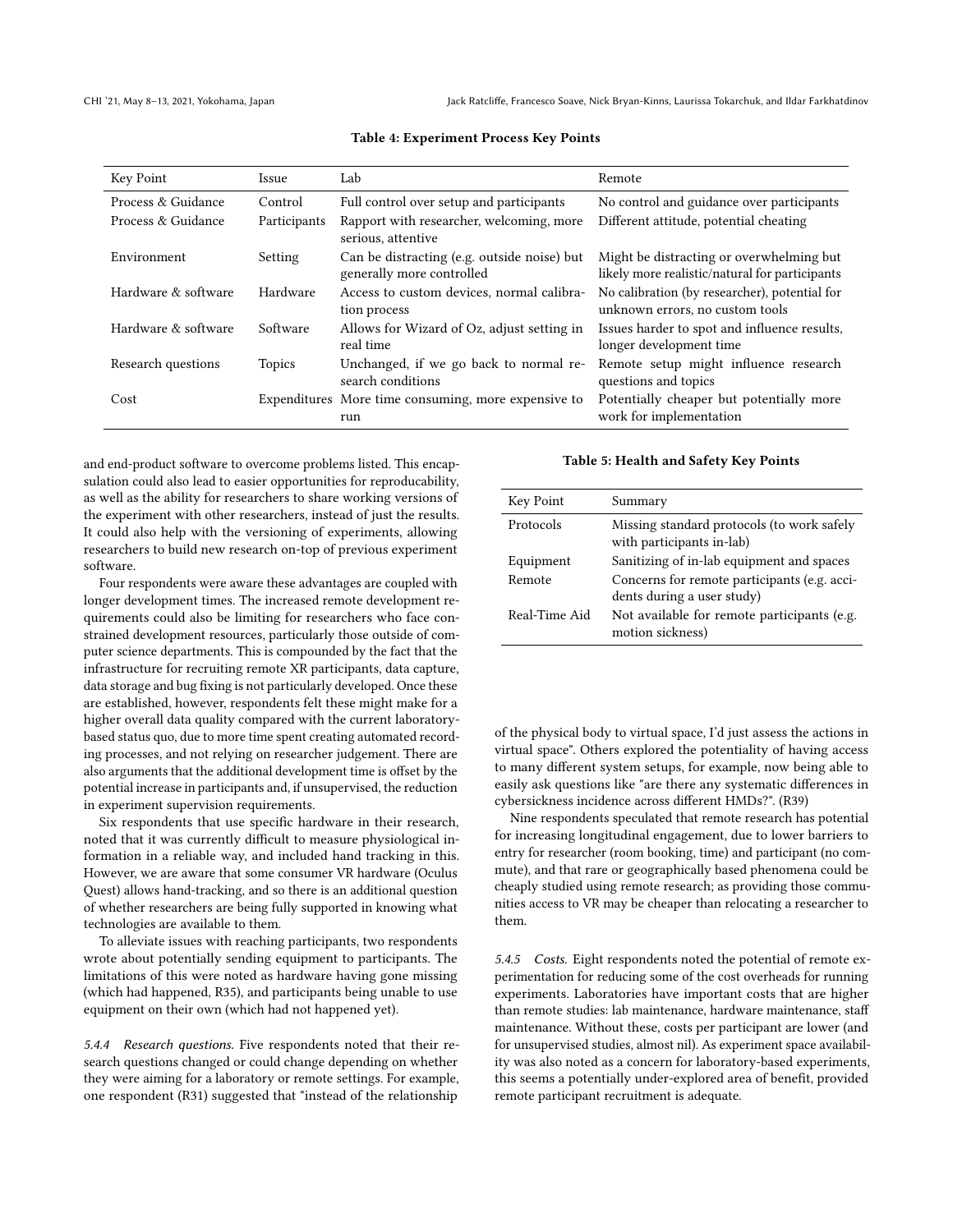| Key Point           | Issue         | Lab                                                                      | Remote                                                                                     |
|---------------------|---------------|--------------------------------------------------------------------------|--------------------------------------------------------------------------------------------|
| Process & Guidance  | Control       | Full control over setup and participants                                 | No control and guidance over participants                                                  |
| Process & Guidance  | Participants  | Rapport with researcher, welcoming, more<br>serious, attentive           | Different attitude, potential cheating                                                     |
| Environment         | Setting       | Can be distracting (e.g. outside noise) but<br>generally more controlled | Might be distracting or overwhelming but<br>likely more realistic/natural for participants |
| Hardware & software | Hardware      | Access to custom devices, normal calibra-<br>tion process                | No calibration (by researcher), potential for<br>unknown errors, no custom tools           |
| Hardware & software | Software      | Allows for Wizard of Oz, adjust setting in<br>real time                  | Issues harder to spot and influence results,<br>longer development time                    |
| Research questions  | <b>Topics</b> | Unchanged, if we go back to normal re-<br>search conditions              | Remote setup might influence research<br>questions and topics                              |
| Cost                |               | Expenditures More time consuming, more expensive to<br>run               | Potentially cheaper but potentially more<br>work for implementation                        |

#### Table 4: Experiment Process Key Points

and end-product software to overcome problems listed. This encapsulation could also lead to easier opportunities for reproducability, as well as the ability for researchers to share working versions of the experiment with other researchers, instead of just the results. It could also help with the versioning of experiments, allowing researchers to build new research on-top of previous experiment software.

Four respondents were aware these advantages are coupled with longer development times. The increased remote development requirements could also be limiting for researchers who face constrained development resources, particularly those outside of computer science departments. This is compounded by the fact that the infrastructure for recruiting remote XR participants, data capture, data storage and bug fixing is not particularly developed. Once these are established, however, respondents felt these might make for a higher overall data quality compared with the current laboratorybased status quo, due to more time spent creating automated recording processes, and not relying on researcher judgement. There are also arguments that the additional development time is offset by the potential increase in participants and, if unsupervised, the reduction in experiment supervision requirements.

Six respondents that use specific hardware in their research, noted that it was currently difficult to measure physiological information in a reliable way, and included hand tracking in this. However, we are aware that some consumer VR hardware (Oculus Quest) allows hand-tracking, and so there is an additional question of whether researchers are being fully supported in knowing what technologies are available to them.

To alleviate issues with reaching participants, two respondents wrote about potentially sending equipment to participants. The limitations of this were noted as hardware having gone missing (which had happened, R35), and participants being unable to use equipment on their own (which had not happened yet).

5.4.4 Research questions. Five respondents noted that their research questions changed or could change depending on whether they were aiming for a laboratory or remote settings. For example, one respondent (R31) suggested that "instead of the relationship

#### Table 5: Health and Safety Key Points

| Key Point     | Summary                                                                 |
|---------------|-------------------------------------------------------------------------|
| Protocols     | Missing standard protocols (to work safely<br>with participants in-lab) |
| Equipment     | Sanitizing of in-lab equipment and spaces                               |
| Remote        | Concerns for remote participants (e.g. acci-                            |
|               | dents during a user study)                                              |
| Real-Time Aid | Not available for remote participants (e.g.<br>motion sickness)         |

of the physical body to virtual space, I'd just assess the actions in virtual space". Others explored the potentiality of having access to many different system setups, for example, now being able to easily ask questions like "are there any systematic differences in cybersickness incidence across different HMDs?". (R39)

Nine respondents speculated that remote research has potential for increasing longitudinal engagement, due to lower barriers to entry for researcher (room booking, time) and participant (no commute), and that rare or geographically based phenomena could be cheaply studied using remote research; as providing those communities access to VR may be cheaper than relocating a researcher to them.

5.4.5 Costs. Eight respondents noted the potential of remote experimentation for reducing some of the cost overheads for running experiments. Laboratories have important costs that are higher than remote studies: lab maintenance, hardware maintenance, staff maintenance. Without these, costs per participant are lower (and for unsupervised studies, almost nil). As experiment space availability was also noted as a concern for laboratory-based experiments, this seems a potentially under-explored area of benefit, provided remote participant recruitment is adequate.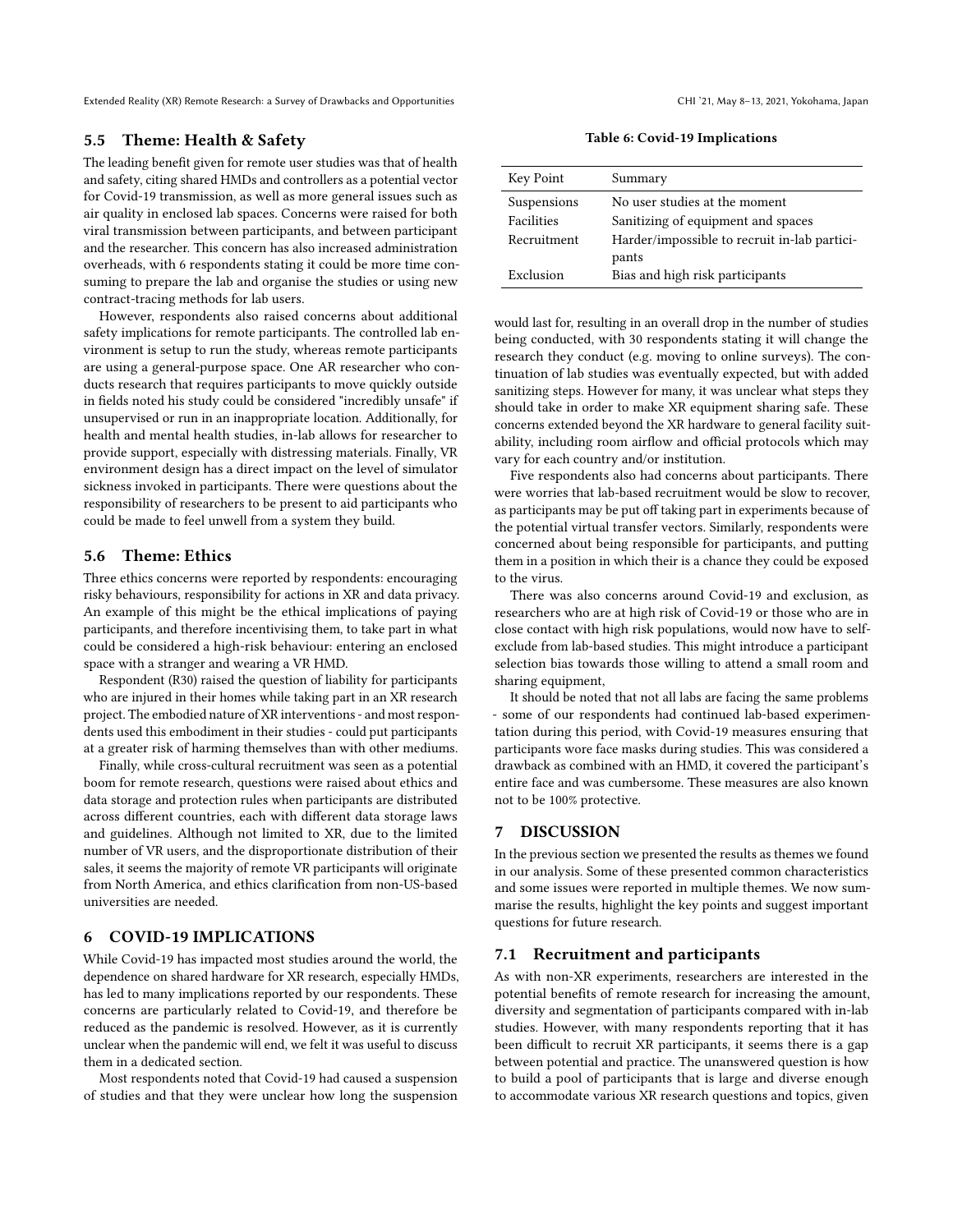# 5.5 Theme: Health & Safety

The leading benefit given for remote user studies was that of health and safety, citing shared HMDs and controllers as a potential vector for Covid-19 transmission, as well as more general issues such as air quality in enclosed lab spaces. Concerns were raised for both viral transmission between participants, and between participant and the researcher. This concern has also increased administration overheads, with 6 respondents stating it could be more time consuming to prepare the lab and organise the studies or using new contract-tracing methods for lab users.

However, respondents also raised concerns about additional safety implications for remote participants. The controlled lab environment is setup to run the study, whereas remote participants are using a general-purpose space. One AR researcher who conducts research that requires participants to move quickly outside in fields noted his study could be considered "incredibly unsafe" if unsupervised or run in an inappropriate location. Additionally, for health and mental health studies, in-lab allows for researcher to provide support, especially with distressing materials. Finally, VR environment design has a direct impact on the level of simulator sickness invoked in participants. There were questions about the responsibility of researchers to be present to aid participants who could be made to feel unwell from a system they build.

# 5.6 Theme: Ethics

Three ethics concerns were reported by respondents: encouraging risky behaviours, responsibility for actions in XR and data privacy. An example of this might be the ethical implications of paying participants, and therefore incentivising them, to take part in what could be considered a high-risk behaviour: entering an enclosed space with a stranger and wearing a VR HMD.

Respondent (R30) raised the question of liability for participants who are injured in their homes while taking part in an XR research project. The embodied nature of XR interventions - and most respondents used this embodiment in their studies - could put participants at a greater risk of harming themselves than with other mediums.

Finally, while cross-cultural recruitment was seen as a potential boom for remote research, questions were raised about ethics and data storage and protection rules when participants are distributed across different countries, each with different data storage laws and guidelines. Although not limited to XR, due to the limited number of VR users, and the disproportionate distribution of their sales, it seems the majority of remote VR participants will originate from North America, and ethics clarification from non-US-based universities are needed.

# 6 COVID-19 IMPLICATIONS

While Covid-19 has impacted most studies around the world, the dependence on shared hardware for XR research, especially HMDs, has led to many implications reported by our respondents. These concerns are particularly related to Covid-19, and therefore be reduced as the pandemic is resolved. However, as it is currently unclear when the pandemic will end, we felt it was useful to discuss them in a dedicated section.

Most respondents noted that Covid-19 had caused a suspension of studies and that they were unclear how long the suspension

Table 6: Covid-19 Implications

| Key Point   | Summary                                      |
|-------------|----------------------------------------------|
| Suspensions | No user studies at the moment                |
| Facilities  | Sanitizing of equipment and spaces           |
| Recruitment | Harder/impossible to recruit in-lab partici- |
|             | pants                                        |
| Exclusion   | Bias and high risk participants              |

would last for, resulting in an overall drop in the number of studies being conducted, with 30 respondents stating it will change the research they conduct (e.g. moving to online surveys). The continuation of lab studies was eventually expected, but with added sanitizing steps. However for many, it was unclear what steps they should take in order to make XR equipment sharing safe. These concerns extended beyond the XR hardware to general facility suitability, including room airflow and official protocols which may vary for each country and/or institution.

Five respondents also had concerns about participants. There were worries that lab-based recruitment would be slow to recover, as participants may be put off taking part in experiments because of the potential virtual transfer vectors. Similarly, respondents were concerned about being responsible for participants, and putting them in a position in which their is a chance they could be exposed to the virus.

There was also concerns around Covid-19 and exclusion, as researchers who are at high risk of Covid-19 or those who are in close contact with high risk populations, would now have to selfexclude from lab-based studies. This might introduce a participant selection bias towards those willing to attend a small room and sharing equipment,

It should be noted that not all labs are facing the same problems - some of our respondents had continued lab-based experimentation during this period, with Covid-19 measures ensuring that participants wore face masks during studies. This was considered a drawback as combined with an HMD, it covered the participant's entire face and was cumbersome. These measures are also known not to be 100% protective.

# 7 DISCUSSION

In the previous section we presented the results as themes we found in our analysis. Some of these presented common characteristics and some issues were reported in multiple themes. We now summarise the results, highlight the key points and suggest important questions for future research.

#### 7.1 Recruitment and participants

As with non-XR experiments, researchers are interested in the potential benefits of remote research for increasing the amount, diversity and segmentation of participants compared with in-lab studies. However, with many respondents reporting that it has been difficult to recruit XR participants, it seems there is a gap between potential and practice. The unanswered question is how to build a pool of participants that is large and diverse enough to accommodate various XR research questions and topics, given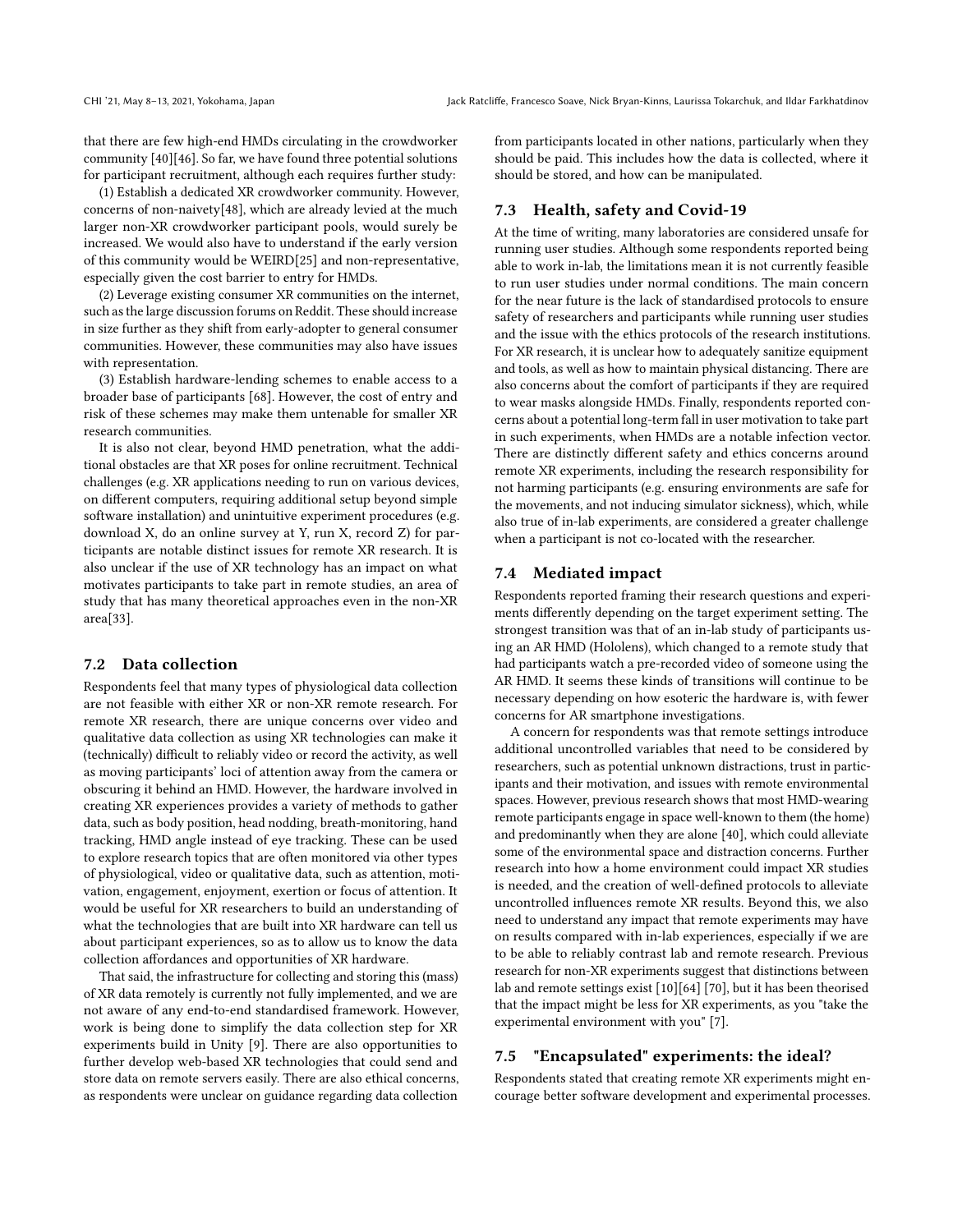that there are few high-end HMDs circulating in the crowdworker community [\[40\]](#page-11-5)[\[46\]](#page-11-3). So far, we have found three potential solutions for participant recruitment, although each requires further study:

(1) Establish a dedicated XR crowdworker community. However, concerns of non-naivety[\[48\]](#page-11-42), which are already levied at the much larger non-XR crowdworker participant pools, would surely be increased. We would also have to understand if the early version of this community would be WEIRD[\[25\]](#page-11-43) and non-representative, especially given the cost barrier to entry for HMDs.

(2) Leverage existing consumer XR communities on the internet, such as the large discussion forums on Reddit. These should increase in size further as they shift from early-adopter to general consumer communities. However, these communities may also have issues with representation.

(3) Establish hardware-lending schemes to enable access to a broader base of participants [\[68\]](#page-12-19). However, the cost of entry and risk of these schemes may make them untenable for smaller XR research communities.

It is also not clear, beyond HMD penetration, what the additional obstacles are that XR poses for online recruitment. Technical challenges (e.g. XR applications needing to run on various devices, on different computers, requiring additional setup beyond simple software installation) and unintuitive experiment procedures (e.g. download X, do an online survey at Y, run X, record Z) for participants are notable distinct issues for remote XR research. It is also unclear if the use of XR technology has an impact on what motivates participants to take part in remote studies, an area of study that has many theoretical approaches even in the non-XR area[\[33\]](#page-11-44).

# 7.2 Data collection

Respondents feel that many types of physiological data collection are not feasible with either XR or non-XR remote research. For remote XR research, there are unique concerns over video and qualitative data collection as using XR technologies can make it (technically) difficult to reliably video or record the activity, as well as moving participants' loci of attention away from the camera or obscuring it behind an HMD. However, the hardware involved in creating XR experiences provides a variety of methods to gather data, such as body position, head nodding, breath-monitoring, hand tracking, HMD angle instead of eye tracking. These can be used to explore research topics that are often monitored via other types of physiological, video or qualitative data, such as attention, motivation, engagement, enjoyment, exertion or focus of attention. It would be useful for XR researchers to build an understanding of what the technologies that are built into XR hardware can tell us about participant experiences, so as to allow us to know the data collection affordances and opportunities of XR hardware.

That said, the infrastructure for collecting and storing this (mass) of XR data remotely is currently not fully implemented, and we are not aware of any end-to-end standardised framework. However, work is being done to simplify the data collection step for XR experiments build in Unity [\[9\]](#page-10-6). There are also opportunities to further develop web-based XR technologies that could send and store data on remote servers easily. There are also ethical concerns, as respondents were unclear on guidance regarding data collection

from participants located in other nations, particularly when they should be paid. This includes how the data is collected, where it should be stored, and how can be manipulated.

# 7.3 Health, safety and Covid-19

At the time of writing, many laboratories are considered unsafe for running user studies. Although some respondents reported being able to work in-lab, the limitations mean it is not currently feasible to run user studies under normal conditions. The main concern for the near future is the lack of standardised protocols to ensure safety of researchers and participants while running user studies and the issue with the ethics protocols of the research institutions. For XR research, it is unclear how to adequately sanitize equipment and tools, as well as how to maintain physical distancing. There are also concerns about the comfort of participants if they are required to wear masks alongside HMDs. Finally, respondents reported concerns about a potential long-term fall in user motivation to take part in such experiments, when HMDs are a notable infection vector. There are distinctly different safety and ethics concerns around remote XR experiments, including the research responsibility for not harming participants (e.g. ensuring environments are safe for the movements, and not inducing simulator sickness), which, while also true of in-lab experiments, are considered a greater challenge when a participant is not co-located with the researcher.

# 7.4 Mediated impact

Respondents reported framing their research questions and experiments differently depending on the target experiment setting. The strongest transition was that of an in-lab study of participants using an AR HMD (Hololens), which changed to a remote study that had participants watch a pre-recorded video of someone using the AR HMD. It seems these kinds of transitions will continue to be necessary depending on how esoteric the hardware is, with fewer concerns for AR smartphone investigations.

A concern for respondents was that remote settings introduce additional uncontrolled variables that need to be considered by researchers, such as potential unknown distractions, trust in participants and their motivation, and issues with remote environmental spaces. However, previous research shows that most HMD-wearing remote participants engage in space well-known to them (the home) and predominantly when they are alone [\[40\]](#page-11-5), which could alleviate some of the environmental space and distraction concerns. Further research into how a home environment could impact XR studies is needed, and the creation of well-defined protocols to alleviate uncontrolled influences remote XR results. Beyond this, we also need to understand any impact that remote experiments may have on results compared with in-lab experiences, especially if we are to be able to reliably contrast lab and remote research. Previous research for non-XR experiments suggest that distinctions between lab and remote settings exist [\[10\]](#page-10-10)[\[64\]](#page-12-15) [\[70\]](#page-12-16), but it has been theorised that the impact might be less for XR experiments, as you "take the experimental environment with you" [\[7\]](#page-10-0).

### 7.5 "Encapsulated" experiments: the ideal?

Respondents stated that creating remote XR experiments might encourage better software development and experimental processes.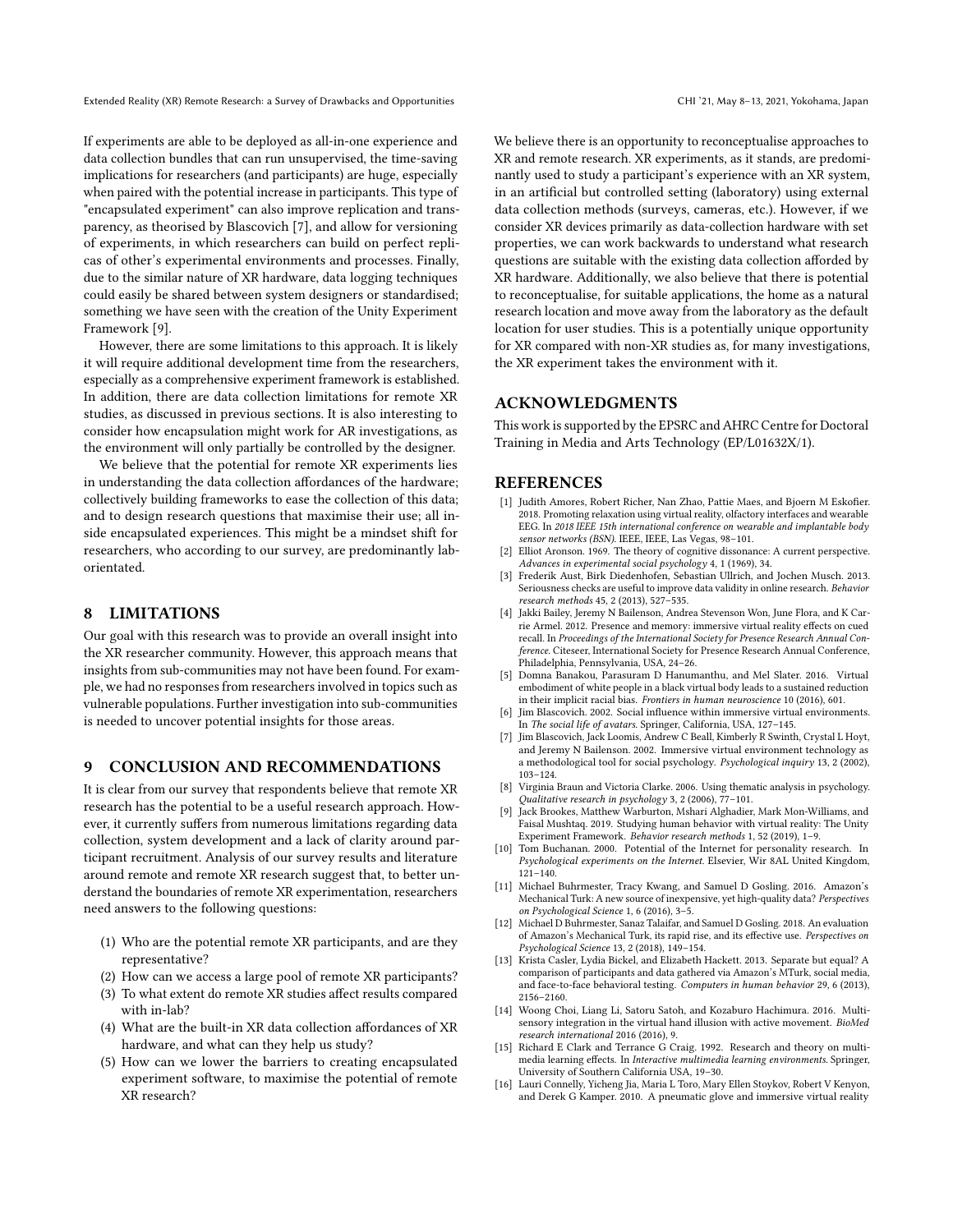If experiments are able to be deployed as all-in-one experience and data collection bundles that can run unsupervised, the time-saving implications for researchers (and participants) are huge, especially when paired with the potential increase in participants. This type of "encapsulated experiment" can also improve replication and transparency, as theorised by Blascovich [\[7\]](#page-10-0), and allow for versioning of experiments, in which researchers can build on perfect replicas of other's experimental environments and processes. Finally, due to the similar nature of XR hardware, data logging techniques could easily be shared between system designers or standardised; something we have seen with the creation of the Unity Experiment Framework [\[9\]](#page-10-6).

However, there are some limitations to this approach. It is likely it will require additional development time from the researchers, especially as a comprehensive experiment framework is established. In addition, there are data collection limitations for remote XR studies, as discussed in previous sections. It is also interesting to consider how encapsulation might work for AR investigations, as the environment will only partially be controlled by the designer.

We believe that the potential for remote XR experiments lies in understanding the data collection affordances of the hardware; collectively building frameworks to ease the collection of this data; and to design research questions that maximise their use; all inside encapsulated experiences. This might be a mindset shift for researchers, who according to our survey, are predominantly laborientated.

# 8 LIMITATIONS

Our goal with this research was to provide an overall insight into the XR researcher community. However, this approach means that insights from sub-communities may not have been found. For example, we had no responses from researchers involved in topics such as vulnerable populations. Further investigation into sub-communities is needed to uncover potential insights for those areas.

### 9 CONCLUSION AND RECOMMENDATIONS

It is clear from our survey that respondents believe that remote XR research has the potential to be a useful research approach. However, it currently suffers from numerous limitations regarding data collection, system development and a lack of clarity around participant recruitment. Analysis of our survey results and literature around remote and remote XR research suggest that, to better understand the boundaries of remote XR experimentation, researchers need answers to the following questions:

- (1) Who are the potential remote XR participants, and are they representative?
- (2) How can we access a large pool of remote XR participants?
- (3) To what extent do remote XR studies affect results compared with in-lab?
- (4) What are the built-in XR data collection affordances of XR hardware, and what can they help us study?
- (5) How can we lower the barriers to creating encapsulated experiment software, to maximise the potential of remote XR research?

We believe there is an opportunity to reconceptualise approaches to XR and remote research. XR experiments, as it stands, are predominantly used to study a participant's experience with an XR system, in an artificial but controlled setting (laboratory) using external data collection methods (surveys, cameras, etc.). However, if we consider XR devices primarily as data-collection hardware with set properties, we can work backwards to understand what research questions are suitable with the existing data collection afforded by XR hardware. Additionally, we also believe that there is potential to reconceptualise, for suitable applications, the home as a natural research location and move away from the laboratory as the default location for user studies. This is a potentially unique opportunity for XR compared with non-XR studies as, for many investigations, the XR experiment takes the environment with it.

# ACKNOWLEDGMENTS

This work is supported by the EPSRC and AHRC Centre for Doctoral Training in Media and Arts Technology (EP/L01632X/1).

#### REFERENCES

- <span id="page-10-5"></span>[1] Judith Amores, Robert Richer, Nan Zhao, Pattie Maes, and Bjoern M Eskofier. 2018. Promoting relaxation using virtual reality, olfactory interfaces and wearable EEG. In 2018 IEEE 15th international conference on wearable and implantable body sensor networks (BSN). IEEE, IEEE, Las Vegas, 98-101.
- <span id="page-10-7"></span>[2] Elliot Aronson. 1969. The theory of cognitive dissonance: A current perspective. Advances in experimental social psychology 4, 1 (1969), 34.
- <span id="page-10-13"></span>[3] Frederik Aust, Birk Diedenhofen, Sebastian Ullrich, and Jochen Musch. 2013. Seriousness checks are useful to improve data validity in online research. Behavior research methods 45, 2 (2013), 527–535.
- <span id="page-10-4"></span>[4] Jakki Bailey, Jeremy N Bailenson, Andrea Stevenson Won, June Flora, and K Carrie Armel. 2012. Presence and memory: immersive virtual reality effects on cued recall. In Proceedings of the International Society for Presence Research Annual Conference. Citeseer, International Society for Presence Research Annual Conference, Philadelphia, Pennsylvania, USA, 24–26.
- <span id="page-10-9"></span>[5] Domna Banakou, Parasuram D Hanumanthu, and Mel Slater. 2016. Virtual embodiment of white people in a black virtual body leads to a sustained reduction in their implicit racial bias. Frontiers in human neuroscience 10 (2016), 601.
- <span id="page-10-1"></span>[6] Jim Blascovich. 2002. Social influence within immersive virtual environments. In The social life of avatars. Springer, California, USA, 127–145.
- <span id="page-10-0"></span>[7] Jim Blascovich, Jack Loomis, Andrew C Beall, Kimberly R Swinth, Crystal L Hoyt, and Jeremy N Bailenson. 2002. Immersive virtual environment technology as a methodological tool for social psychology. Psychological inquiry 13, 2 (2002), 103–124.
- <span id="page-10-15"></span>[8] Virginia Braun and Victoria Clarke. 2006. Using thematic analysis in psychology. Qualitative research in psychology 3, 2 (2006), 77–101.
- <span id="page-10-6"></span>Jack Brookes, Matthew Warburton, Mshari Alghadier, Mark Mon-Williams, and Faisal Mushtaq. 2019. Studying human behavior with virtual reality: The Unity Experiment Framework. Behavior research methods 1, 52 (2019), 1–9.
- <span id="page-10-10"></span>[10] Tom Buchanan. 2000. Potential of the Internet for personality research. In Psychological experiments on the Internet. Elsevier, Wir 8AL United Kingdom, 121–140.
- <span id="page-10-11"></span>[11] Michael Buhrmester, Tracy Kwang, and Samuel D Gosling. 2016. Amazon's Mechanical Turk: A new source of inexpensive, yet high-quality data? Perspectives on Psychological Science 1, 6 (2016), 3–5.
- <span id="page-10-14"></span>[12] Michael D Buhrmester, Sanaz Talaifar, and Samuel D Gosling. 2018. An evaluation of Amazon's Mechanical Turk, its rapid rise, and its effective use. Perspectives on Psychological Science 13, 2 (2018), 149–154.
- <span id="page-10-12"></span>[13] Krista Casler, Lydia Bickel, and Elizabeth Hackett. 2013. Separate but equal? A comparison of participants and data gathered via Amazon's MTurk, social media, and face-to-face behavioral testing. Computers in human behavior 29, 6 (2013), 2156–2160.
- <span id="page-10-2"></span>[14] Woong Choi, Liang Li, Satoru Satoh, and Kozaburo Hachimura. 2016. Multisensory integration in the virtual hand illusion with active movement. BioMed research international 2016 (2016), 9.
- <span id="page-10-8"></span>[15] Richard E Clark and Terrance G Craig. 1992. Research and theory on multimedia learning effects. In Interactive multimedia learning environments. Springer, University of Southern California USA, 19–30.
- <span id="page-10-3"></span>[16] Lauri Connelly, Yicheng Jia, Maria L Toro, Mary Ellen Stoykov, Robert V Kenyon, and Derek G Kamper. 2010. A pneumatic glove and immersive virtual reality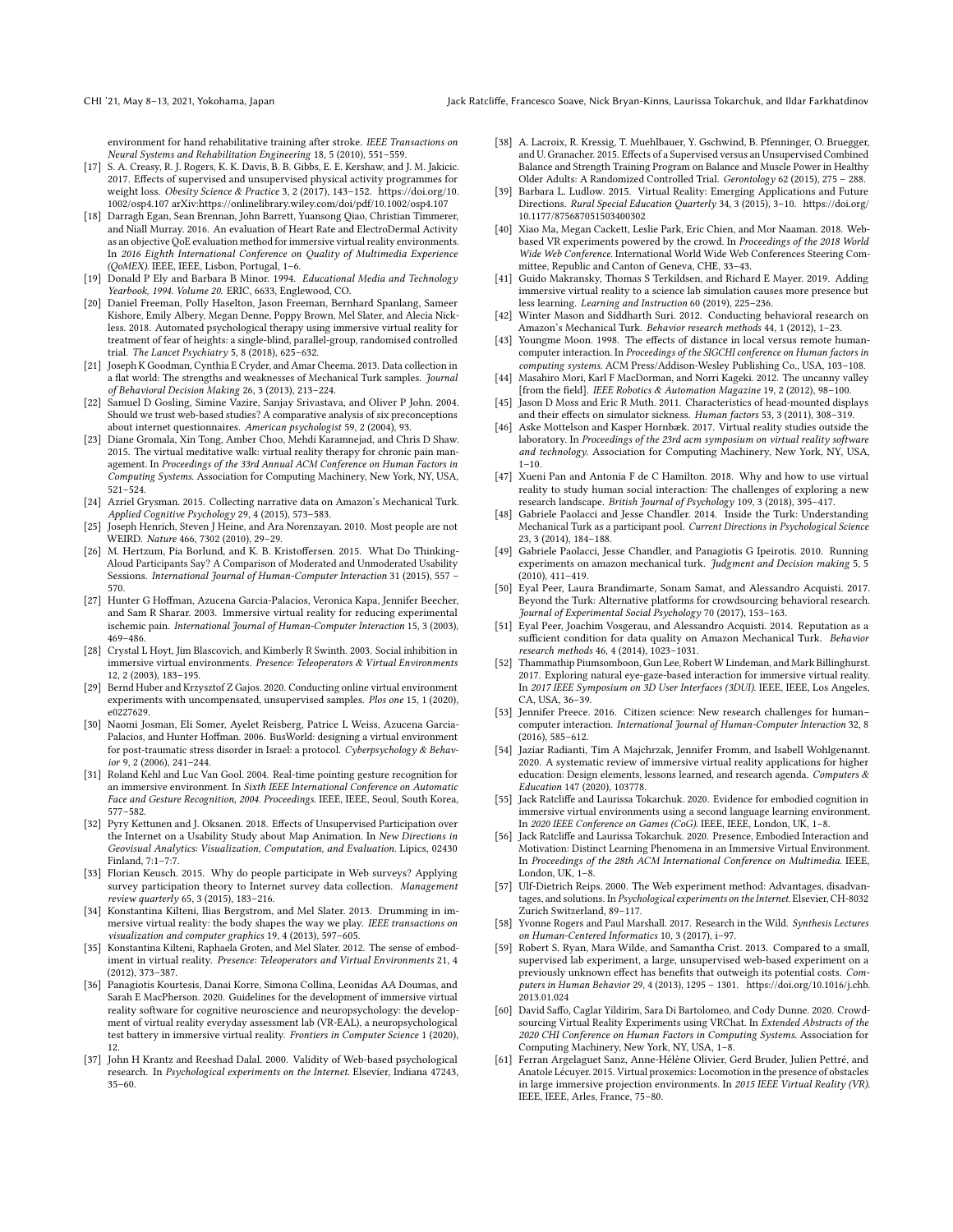environment for hand rehabilitative training after stroke. IEEE Transactions on Neural Systems and Rehabilitation Engineering 18, 5 (2010), 551–559.

- <span id="page-11-35"></span>[17] S. A. Creasy, R. J. Rogers, K. K. Davis, B. B. Gibbs, E. E. Kershaw, and J. M. Jakicic. 2017. Effects of supervised and unsupervised physical activity programmes for weight loss. Obesity Science & Practice 3, 2 (2017), 143–152. [https://doi.org/10.](https://doi.org/10.1002/osp4.107) [1002/osp4.107](https://doi.org/10.1002/osp4.107) arXiv[:https://onlinelibrary.wiley.com/doi/pdf/10.1002/osp4.107](https://arxiv.org/abs/https://onlinelibrary.wiley.com/doi/pdf/10.1002/osp4.107)
- <span id="page-11-17"></span>[18] Darragh Egan, Sean Brennan, John Barrett, Yuansong Qiao, Christian Timmerer, and Niall Murray. 2016. An evaluation of Heart Rate and ElectroDermal Activity as an objective QoE evaluation method for immersive virtual reality environments. In 2016 Eighth International Conference on Quality of Multimedia Experience (QoMEX). IEEE, IEEE, Lisbon, Portugal, 1–6.
- <span id="page-11-26"></span>[19] Donald P Ely and Barbara B Minor. 1994. Educational Media and Technology Yearbook, 1994. Volume 20. ERIC, 6633, Englewood, CO.
- <span id="page-11-14"></span>[20] Daniel Freeman, Polly Haselton, Jason Freeman, Bernhard Spanlang, Sameer Kishore, Emily Albery, Megan Denne, Poppy Brown, Mel Slater, and Alecia Nickless. 2018. Automated psychological therapy using immersive virtual reality for treatment of fear of heights: a single-blind, parallel-group, randomised controlled trial. The Lancet Psychiatry 5, 8 (2018), 625–632.
- <span id="page-11-40"></span>[21] Joseph K Goodman, Cynthia E Cryder, and Amar Cheema. 2013. Data collection in a flat world: The strengths and weaknesses of Mechanical Turk samples. Journal of Behavioral Decision Making 26, 3 (2013), 213–224.
- <span id="page-11-28"></span>[22] Samuel D Gosling, Simine Vazire, Sanjay Srivastava, and Oliver P John. 2004. Should we trust web-based studies? A comparative analysis of six preconceptions about internet questionnaires. American psychologist 59, 2 (2004), 93.
- <span id="page-11-15"></span>[23] Diane Gromala, Xin Tong, Amber Choo, Mehdi Karamnejad, and Chris D Shaw. 2015. The virtual meditative walk: virtual reality therapy for chronic pain management. In Proceedings of the 33rd Annual ACM Conference on Human Factors in Computing Systems. Association for Computing Machinery, New York, NY, USA, 521–524.
- <span id="page-11-38"></span>[24] Azriel Grysman. 2015. Collecting narrative data on Amazon's Mechanical Turk. Applied Cognitive Psychology 29, 4 (2015), 573–583.
- <span id="page-11-43"></span>[25] Joseph Henrich, Steven J Heine, and Ara Norenzayan. 2010. Most people are not WEIRD. Nature 466, 7302 (2010), 29–29.
- <span id="page-11-32"></span>[26] M. Hertzum, Pia Borlund, and K. B. Kristoffersen. 2015. What Do Thinking-Aloud Participants Say? A Comparison of Moderated and Unmoderated Usability Sessions. International Journal of Human-Computer Interaction 31 (2015), 557 – 570.
- <span id="page-11-18"></span>[27] Hunter G Hoffman, Azucena Garcia-Palacios, Veronica Kapa, Jennifer Beecher, and Sam R Sharar. 2003. Immersive virtual reality for reducing experimental ischemic pain. International Journal of Human-Computer Interaction 15, 3 (2003), 469–486.
- <span id="page-11-10"></span>[28] Crystal L Hoyt, Jim Blascovich, and Kimberly R Swinth. 2003. Social inhibition in immersive virtual environments. Presence: Teleoperators & Virtual Environments 12, 2 (2003), 183–195.
- <span id="page-11-4"></span>[29] Bernd Huber and Krzysztof Z Gajos. 2020. Conducting online virtual environment experiments with uncompensated, unsupervised samples. Plos one 15, 1 (2020), e0227629.
- <span id="page-11-16"></span>[30] Naomi Josman, Eli Somer, Ayelet Reisberg, Patrice L Weiss, Azucena Garcia-Palacios, and Hunter Hoffman. 2006. BusWorld: designing a virtual environment for post-traumatic stress disorder in Israel: a protocol. Cyberpsychology & Behavior 9, 2 (2006), 241–244.
- <span id="page-11-20"></span>[31] Roland Kehl and Luc Van Gool. 2004. Real-time pointing gesture recognition for an immersive environment. In Sixth IEEE International Conference on Automatic Face and Gesture Recognition, 2004. Proceedings. IEEE, IEEE, Seoul, South Korea, 577–582.
- <span id="page-11-33"></span>[32] Pyry Kettunen and J. Oksanen. 2018. Effects of Unsupervised Participation over the Internet on a Usability Study about Map Animation. In New Directions in Geovisual Analytics: Visualization, Computation, and Evaluation. Lipics, 02430 Finland, 7:1–7:7.
- <span id="page-11-44"></span>[33] Florian Keusch. 2015. Why do people participate in Web surveys? Applying survey participation theory to Internet survey data collection. Management review quarterly 65, 3 (2015), 183–216.
- <span id="page-11-11"></span>[34] Konstantina Kilteni, Ilias Bergstrom, and Mel Slater. 2013. Drumming in immersive virtual reality: the body shapes the way we play. IEEE transactions on visualization and computer graphics 19, 4 (2013), 597–605.
- <span id="page-11-22"></span>[35] Konstantina Kilteni, Raphaela Groten, and Mel Slater. 2012. The sense of embodiment in virtual reality. Presence: Teleoperators and Virtual Environments 21, 4 (2012), 373–387.
- <span id="page-11-0"></span>[36] Panagiotis Kourtesis, Danai Korre, Simona Collina, Leonidas AA Doumas, and Sarah E MacPherson. 2020. Guidelines for the development of immersive virtual reality software for cognitive neuroscience and neuropsychology: the development of virtual reality everyday assessment lab (VR-EAL), a neuropsychological test battery in immersive virtual reality. Frontiers in Computer Science 1 (2020), 12.
- <span id="page-11-29"></span>[37] John H Krantz and Reeshad Dalal. 2000. Validity of Web-based psychological research. In Psychological experiments on the Internet. Elsevier, Indiana 47243, 35–60.
- <span id="page-11-36"></span>[38] A. Lacroix, R. Kressig, T. Muehlbauer, Y. Gschwind, B. Pfenninger, O. Bruegger, and U. Granacher. 2015. Effects of a Supervised versus an Unsupervised Combined Balance and Strength Training Program on Balance and Muscle Power in Healthy Older Adults: A Randomized Controlled Trial. Gerontology 62 (2015), 275 – 288.
- <span id="page-11-7"></span>[39] Barbara L. Ludlow. 2015. Virtual Reality: Emerging Applications and Future Directions. Rural Special Education Quarterly 34, 3 (2015), 3–10. [https://doi.org/](https://doi.org/10.1177/875687051503400302) [10.1177/875687051503400302](https://doi.org/10.1177/875687051503400302)
- <span id="page-11-5"></span>[40] Xiao Ma, Megan Cackett, Leslie Park, Eric Chien, and Mor Naaman. 2018. Webbased VR experiments powered by the crowd. In Proceedings of the 2018 World Wide Web Conference. International World Wide Web Conferences Steering Committee, Republic and Canton of Geneva, CHE, 33–43.
- <span id="page-11-25"></span>[41] Guido Makransky, Thomas S Terkildsen, and Richard E Mayer. 2019. Adding immersive virtual reality to a science lab simulation causes more presence but less learning. Learning and Instruction 60 (2019), 225–236.
- <span id="page-11-37"></span>[42] Winter Mason and Siddharth Suri. 2012. Conducting behavioral research on Amazon's Mechanical Turk. Behavior research methods 44, 1 (2012), 1–23.
- <span id="page-11-30"></span>[43] Youngme Moon. 1998. The effects of distance in local versus remote humancomputer interaction. In Proceedings of the SIGCHI conference on Human factors in computing systems. ACM Press/Addison-Wesley Publishing Co., USA, 103–108. [44] Masahiro Mori, Karl F MacDorman, and Norri Kageki. 2012. The uncanny valley
- <span id="page-11-24"></span><span id="page-11-23"></span>[from the field]. IEEE Robotics & Automation Magazine 19, 2 (2012), 98–100. [45] Jason D Moss and Eric R Muth. 2011. Characteristics of head-mounted displays
- and their effects on simulator sickness. Human factors 53, 3 (2011), 308–319.
- <span id="page-11-3"></span>[46] Aske Mottelson and Kasper Hornbæk. 2017. Virtual reality studies outside the laboratory. In Proceedings of the 23rd acm symposium on virtual reality software and technology. Association for Computing Machinery, New York, NY, USA,  $1 - 10$ .
- <span id="page-11-21"></span>[47] Xueni Pan and Antonia F de C Hamilton. 2018. Why and how to use virtual reality to study human social interaction: The challenges of exploring a new research landscape. British Journal of Psychology 109, 3 (2018), 395–417.
- <span id="page-11-42"></span>[48] Gabriele Paolacci and Jesse Chandler. 2014. Inside the Turk: Understanding Mechanical Turk as a participant pool. Current Directions in Psychological Science 23, 3 (2014), 184–188.
- <span id="page-11-2"></span>[49] Gabriele Paolacci, Jesse Chandler, and Panagiotis G Ipeirotis. 2010. Running experiments on amazon mechanical turk. Judgment and Decision making 5, 5 (2010), 411–419.
- <span id="page-11-39"></span>[50] Eyal Peer, Laura Brandimarte, Sonam Samat, and Alessandro Acquisti. 2017. Beyond the Turk: Alternative platforms for crowdsourcing behavioral research. Journal of Experimental Social Psychology 70 (2017), 153–163.
- <span id="page-11-41"></span>[51] Eyal Peer, Joachim Vosgerau, and Alessandro Acquisti. 2014. Reputation as a sufficient condition for data quality on Amazon Mechanical Turk. Behavior research methods 46, 4 (2014), 1023–1031.
- <span id="page-11-19"></span>[52] Thammathip Piumsomboon, Gun Lee, Robert W Lindeman, and Mark Billinghurst. 2017. Exploring natural eye-gaze-based interaction for immersive virtual reality. In 2017 IEEE Symposium on 3D User Interfaces (3DUI). IEEE, IEEE, Los Angeles, CA, USA, 36–39.
- <span id="page-11-1"></span>[53] Jennifer Preece. 2016. Citizen science: New research challenges for human– computer interaction. International Journal of Human-Computer Interaction 32, 8 (2016), 585–612.
- <span id="page-11-13"></span>[54] Jaziar Radianti, Tim A Majchrzak, Jennifer Fromm, and Isabell Wohlgenannt. 2020. A systematic review of immersive virtual reality applications for higher education: Design elements, lessons learned, and research agenda. Computers & Education 147 (2020), 103778.
- <span id="page-11-9"></span>[55] Jack Ratcliffe and Laurissa Tokarchuk. 2020. Evidence for embodied cognition in immersive virtual environments using a second language learning environment. In 2020 IEEE Conference on Games (CoG). IEEE, IEEE, London, UK, 1–8.
- <span id="page-11-8"></span>[56] Jack Ratcliffe and Laurissa Tokarchuk. 2020. Presence, Embodied Interaction and Motivation: Distinct Learning Phenomena in an Immersive Virtual Environment. In Proceedings of the 28th ACM International Conference on Multimedia. IEEE, London, UK, 1–8.
- <span id="page-11-31"></span>[57] Ulf-Dietrich Reips. 2000. The Web experiment method: Advantages, disadvantages, and solutions. In Psychological experiments on the Internet. Elsevier, CH-8032 Zurich Switzerland, 89–117.
- <span id="page-11-27"></span>[58] Yvonne Rogers and Paul Marshall. 2017. Research in the Wild. Synthesis Lectures on Human-Centered Informatics 10, 3 (2017), i–97.
- <span id="page-11-34"></span>[59] Robert S. Ryan, Mara Wilde, and Samantha Crist. 2013. Compared to a small, supervised lab experiment, a large, unsupervised web-based experiment on a previously unknown effect has benefits that outweigh its potential costs. Computers in Human Behavior 29, 4 (2013), 1295 – 1301. [https://doi.org/10.1016/j.chb.](https://doi.org/10.1016/j.chb.2013.01.024)  $2013.01.024$
- <span id="page-11-6"></span>[60] David Saffo, Caglar Yildirim, Sara Di Bartolomeo, and Cody Dunne. 2020. Crowdsourcing Virtual Reality Experiments using VRChat. In Extended Abstracts of the 2020 CHI Conference on Human Factors in Computing Systems. Association for Computing Machinery, New York, NY, USA, 1–8.
- <span id="page-11-12"></span>[61] Ferran Argelaguet Sanz, Anne-Hélène Olivier, Gerd Bruder, Julien Pettré, and Anatole Lécuyer. 2015. Virtual proxemics: Locomotion in the presence of obstacles in large immersive projection environments. In 2015 IEEE Virtual Reality (VR). IEEE, IEEE, Arles, France, 75–80.